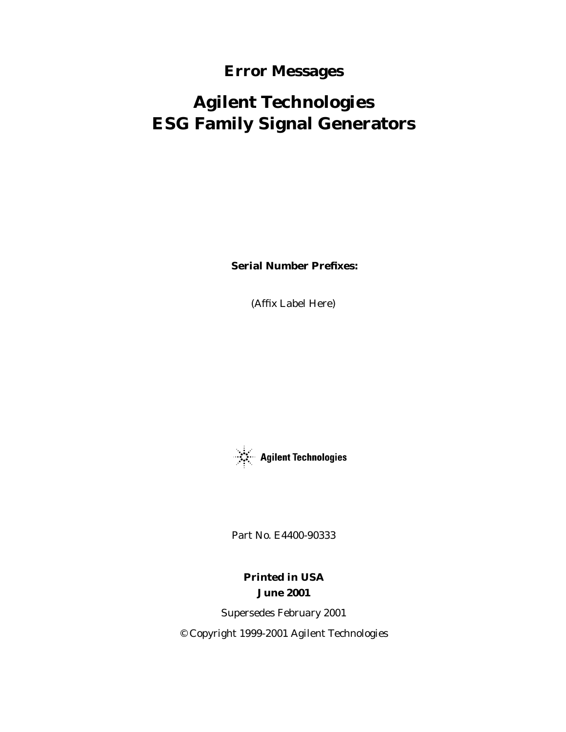### **Error Messages**

# **Agilent Technologies ESG Family Signal Generators**

**Serial Number Prefixes:**

(Affix Label Here)



Part No. E4400-90333

**Printed in USA June 2001**

Supersedes February 2001 © Copyright 1999-2001 Agilent Technologies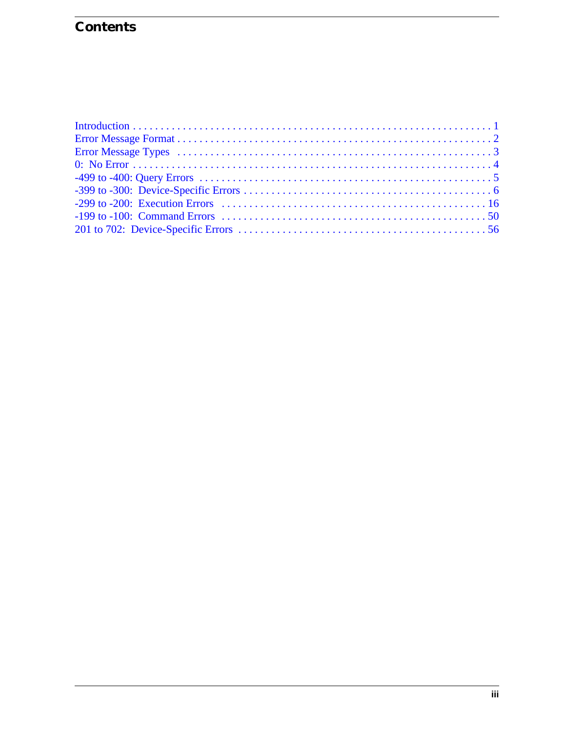## **Contents**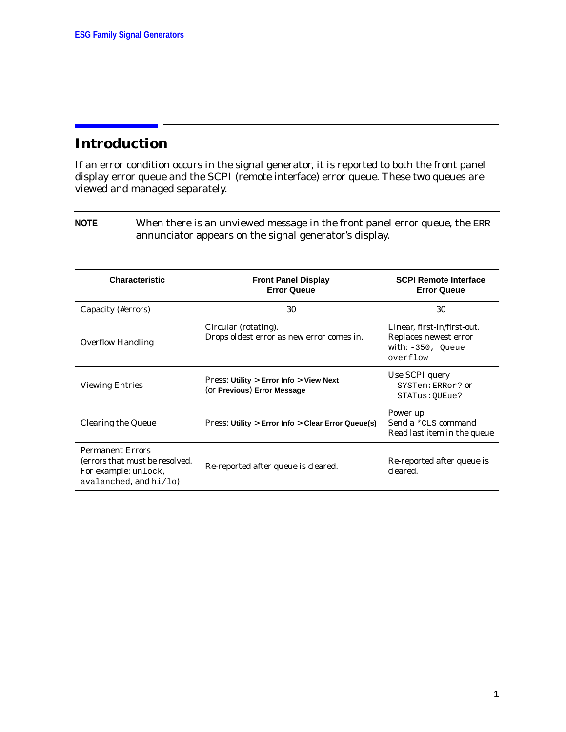### <span id="page-2-0"></span>**Introduction**

If an error condition occurs in the signal generator, it is reported to both the front panel display error queue and the SCPI (remote interface) error queue. These two queues are viewed and managed separately.

**NOTE** When there is an unviewed message in the front panel error queue, the ERR annunciator appears on the signal generator's display.

| <b>Characteristic</b>                                                                                       | <b>Front Panel Display</b><br><b>Error Queue</b>                                    | <b>SCPI Remote Interface</b><br><b>Error Queue</b>                                       |
|-------------------------------------------------------------------------------------------------------------|-------------------------------------------------------------------------------------|------------------------------------------------------------------------------------------|
| Capacity (#errors)                                                                                          | 30                                                                                  | 30                                                                                       |
| <b>Overflow Handling</b>                                                                                    | Circular (rotating).<br>Drops oldest error as new error comes in.                   | Linear, first-in/first-out.<br>Replaces newest error<br>with: $-350$ , Oueue<br>overflow |
| <b>Viewing Entries</b>                                                                                      | <b>Press: Utility &gt; Error Info &gt; View Next</b><br>(or Previous) Error Message | Use SCPI query<br>SYSTem:ERRor? or<br>STATus: OUEue?                                     |
| <b>Clearing the Queue</b>                                                                                   | Press: Utility > Error Info > Clear Error Queue(s)                                  | Power up<br>Send a *CLS command<br>Read last item in the queue                           |
| <b>Permanent Errors</b><br>(errors that must be resolved.<br>For example: unlock,<br>avalanched, and hi/lo) | Re-reported after queue is cleared.                                                 | Re-reported after queue is<br>cleared.                                                   |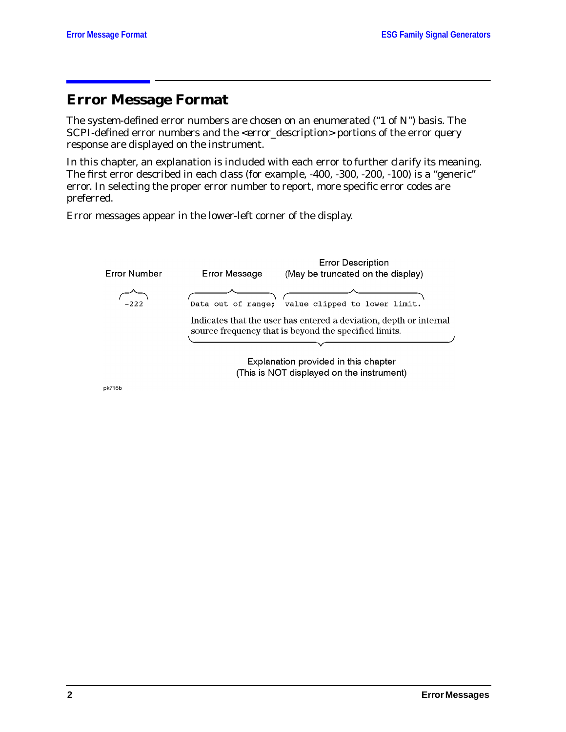### <span id="page-3-0"></span>**Error Message Format**

The system-defined error numbers are chosen on an enumerated ("1 of N") basis. The SCPI-defined error numbers and the <error\_description> portions of the error query response are displayed on the instrument.

In this chapter, an explanation is included with each error to further clarify its meaning. The first error described in each class (for example, -400, -300, -200, -100) is a "generic" error. In selecting the proper error number to report, more specific error codes are preferred.

Error messages appear in the lower-left corner of the display.



Explanation provided in this chapter (This is NOT displayed on the instrument)

pk716b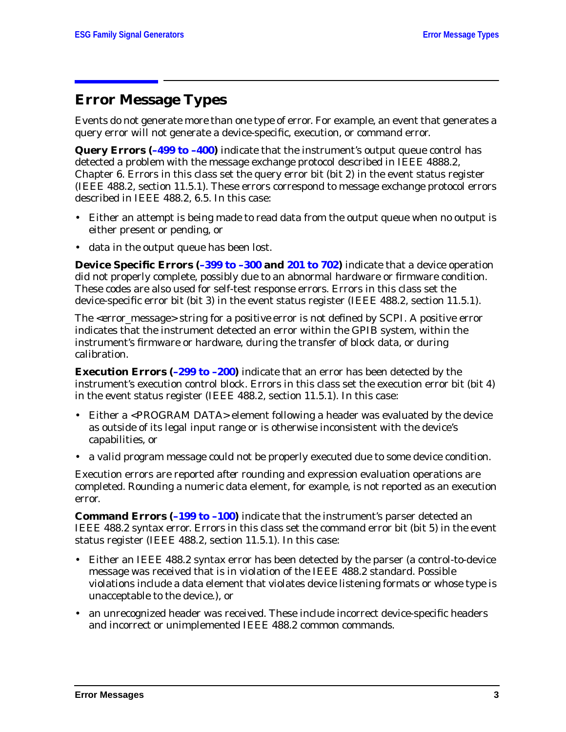### <span id="page-4-0"></span>**Error Message Types**

Events do not generate more than one type of error. For example, an event that generates a query error will not generate a device-specific, execution, or command error.

**Query Errors ([–499 to –400\)](#page-6-0)** indicate that the instrument's output queue control has detected a problem with the message exchange protocol described in IEEE 4888.2, Chapter 6. Errors in this class set the query error bit (bit 2) in the event status register (IEEE 488.2, section 11.5.1). These errors correspond to message exchange protocol errors described in IEEE 488.2, 6.5. In this case:

- Either an attempt is being made to read data from the output queue when no output is either present or pending, or
- data in the output queue has been lost.

**Device Specific Errors [\(–399 to –300](#page-7-0) and [201 to 702](#page-56-0))** indicate that a device operation did not properly complete, possibly due to an abnormal hardware or firmware condition. These codes are also used for self-test response errors. Errors in this class set the device-specific error bit (bit 3) in the event status register (IEEE 488.2, section 11.5.1).

The <error\_message> string for a *positive* error is not defined by SCPI. A positive error indicates that the instrument detected an error within the GPIB system, within the instrument's firmware or hardware, during the transfer of block data, or during calibration.

**Execution Errors ([–299 to –200\)](#page-17-0)** indicate that an error has been detected by the instrument's execution control block. Errors in this class set the execution error bit (bit 4) in the event status register (IEEE 488.2, section 11.5.1). In this case:

- Either a <PROGRAM DATA> element following a header was evaluated by the device as outside of its legal input range or is otherwise inconsistent with the device's capabilities, or
- a valid program message could not be properly executed due to some device condition.

Execution errors are reported *after* rounding and expression evaluation operations are completed. Rounding a numeric data element, for example, is not reported as an execution error.

**Command Errors ([–199 to –100\)](#page-50-0)** indicate that the instrument's parser detected an IEEE 488.2 syntax error. Errors in this class set the command error bit (bit 5) in the event status register (IEEE 488.2, section 11.5.1). In this case:

- Either an IEEE 488.2 syntax error has been detected by the parser (a control-to-device message was received that is in violation of the IEEE 488.2 standard. Possible violations include a data element that violates device listening formats or whose type is unacceptable to the device.), or
- an unrecognized header was received. These include incorrect device-specific headers and incorrect or unimplemented IEEE 488.2 common commands.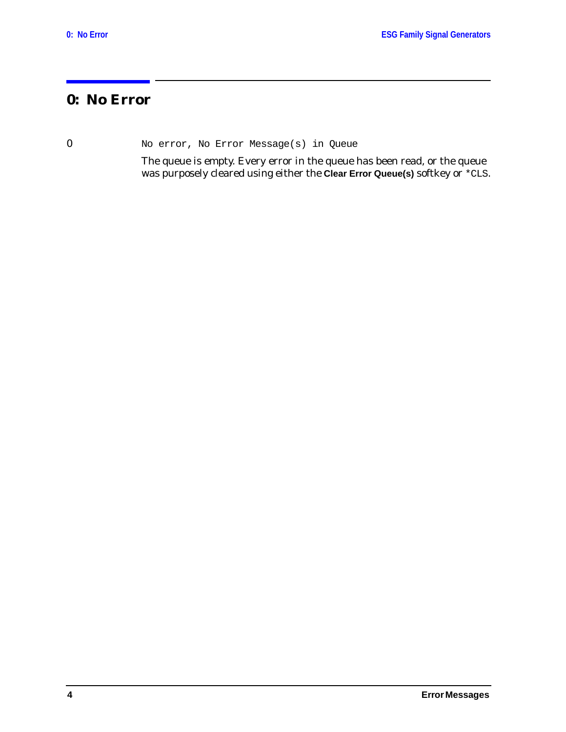### <span id="page-5-0"></span>**0: No Error**

0 No error, No Error Message(s) in Queue

The queue is empty. Every error in the queue has been read, or the queue was purposely cleared using either the **Clear Error Queue(s)** softkey or \*CLS.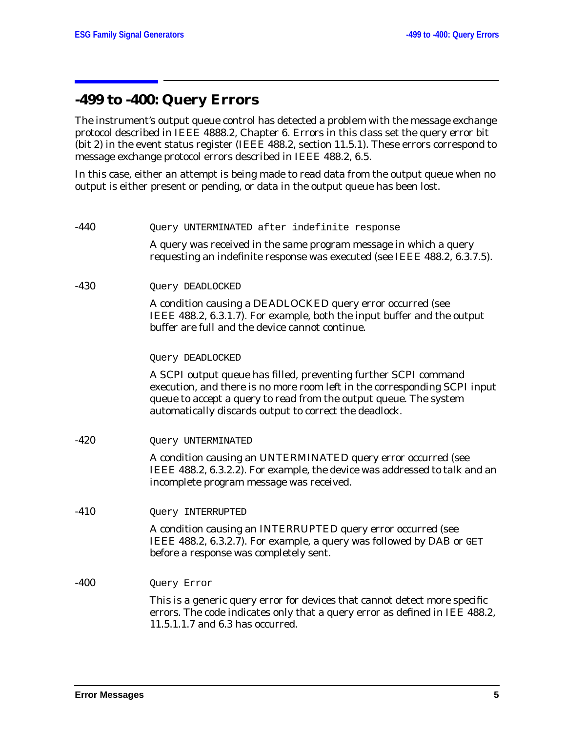### <span id="page-6-0"></span>**-499 to -400: Query Errors**

The instrument's output queue control has detected a problem with the message exchange protocol described in IEEE 4888.2, Chapter 6. Errors in this class set the query error bit (bit 2) in the event status register (IEEE 488.2, section 11.5.1). These errors correspond to message exchange protocol errors described in IEEE 488.2, 6.5.

In this case, either an attempt is being made to read data from the output queue when no output is either present or pending, or data in the output queue has been lost.

| $-440$ | Query UNTERMINATED after indefinite response                                                                                                                                                                                                                                |
|--------|-----------------------------------------------------------------------------------------------------------------------------------------------------------------------------------------------------------------------------------------------------------------------------|
|        | A query was received in the same program message in which a query<br>requesting an indefinite response was executed (see IEEE 488.2, 6.3.7.5).                                                                                                                              |
| $-430$ | Query DEADLOCKED                                                                                                                                                                                                                                                            |
|        | A condition causing a DEADLOCKED query error occurred (see<br>IEEE 488.2, 6.3.1.7). For example, both the input buffer and the output<br>buffer are full and the device cannot continue.                                                                                    |
|        | Query DEADLOCKED                                                                                                                                                                                                                                                            |
|        | A SCPI output queue has filled, preventing further SCPI command<br>execution, and there is no more room left in the corresponding SCPI input<br>queue to accept a query to read from the output queue. The system<br>automatically discards output to correct the deadlock. |
| -420   | Query UNTERMINATED                                                                                                                                                                                                                                                          |
|        | A condition causing an UNTERMINATED query error occurred (see<br>IEEE 488.2, 6.3.2.2). For example, the device was addressed to talk and an<br>incomplete program message was received.                                                                                     |
| $-410$ | Query INTERRUPTED                                                                                                                                                                                                                                                           |
|        | A condition causing an INTERRUPTED query error occurred (see<br>IEEE 488.2, 6.3.2.7). For example, a query was followed by DAB or GET<br>before a response was completely sent.                                                                                             |
| $-400$ | Query Error                                                                                                                                                                                                                                                                 |
|        | This is a generic query error for devices that cannot detect more specific<br>errors. The code indicates only that a query error as defined in IEE 488.2,<br>11.5.1.1.7 and 6.3 has occurred.                                                                               |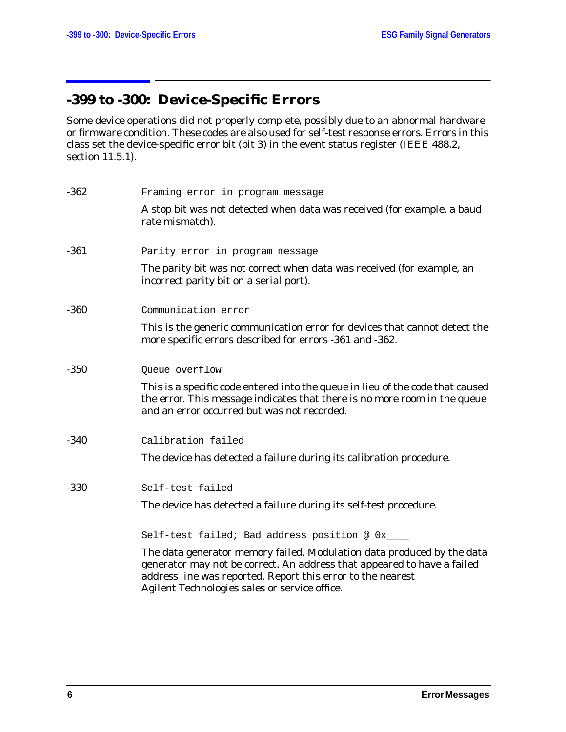# <span id="page-7-0"></span>**-399 to -300: Device-Specific Errors**

Some device operations did not properly complete, possibly due to an abnormal hardware or firmware condition. These codes are also used for self-test response errors. Errors in this class set the device-specific error bit (bit 3) in the event status register (IEEE 488.2, section 11.5.1).

| $-362$ | Framing error in program message                                                                                                                                                                                                                                  |
|--------|-------------------------------------------------------------------------------------------------------------------------------------------------------------------------------------------------------------------------------------------------------------------|
|        | A stop bit was not detected when data was received (for example, a baud<br>rate mismatch).                                                                                                                                                                        |
| $-361$ | Parity error in program message                                                                                                                                                                                                                                   |
|        | The parity bit was not correct when data was received (for example, an<br>incorrect parity bit on a serial port).                                                                                                                                                 |
| $-360$ | Communication error                                                                                                                                                                                                                                               |
|        | This is the generic communication error for devices that cannot detect the<br>more specific errors described for errors -361 and -362.                                                                                                                            |
| $-350$ | Queue overflow                                                                                                                                                                                                                                                    |
|        | This is a specific code entered into the queue in lieu of the code that caused<br>the error. This message indicates that there is no more room in the queue<br>and an error occurred but was not recorded.                                                        |
| $-340$ | Calibration failed                                                                                                                                                                                                                                                |
|        | The device has detected a failure during its calibration procedure.                                                                                                                                                                                               |
| $-330$ | Self-test failed                                                                                                                                                                                                                                                  |
|        | The device has detected a failure during its self-test procedure.                                                                                                                                                                                                 |
|        | Self-test failed; Bad address position @ 0x____                                                                                                                                                                                                                   |
|        | The data generator memory failed. Modulation data produced by the data<br>generator may not be correct. An address that appeared to have a failed<br>address line was reported. Report this error to the nearest<br>Agilent Technologies sales or service office. |
|        |                                                                                                                                                                                                                                                                   |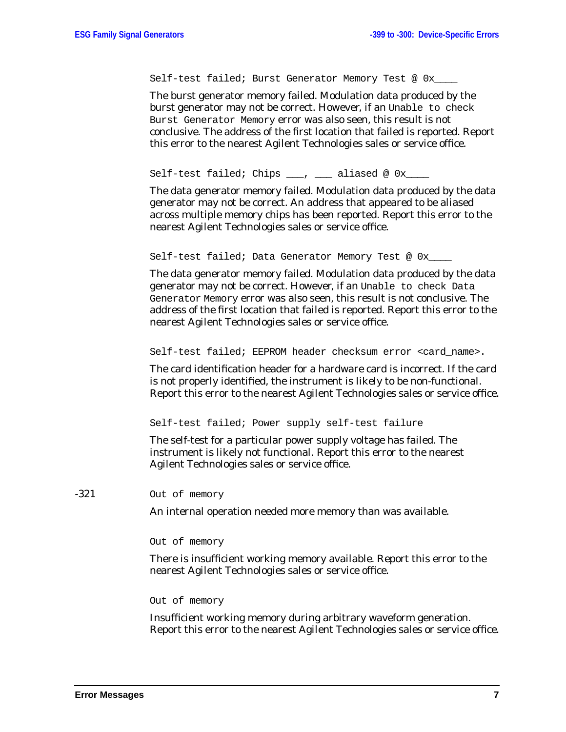Self-test failed; Burst Generator Memory Test @ 0x

The burst generator memory failed. Modulation data produced by the burst generator may not be correct. However, if an Unable to check Burst Generator Memory error was also seen, this result is not conclusive. The address of the first location that failed is reported. Report this error to the nearest Agilent Technologies sales or service office.

Self-test failed; Chips \_\_\_, \_\_\_\_ aliased @ 0x\_

The data generator memory failed. Modulation data produced by the data generator may not be correct. An address that appeared to be aliased across multiple memory chips has been reported. Report this error to the nearest Agilent Technologies sales or service office.

Self-test failed; Data Generator Memory Test @ 0x\_\_\_

The data generator memory failed. Modulation data produced by the data generator may not be correct. However, if an Unable to check Data Generator Memory error was also seen, this result is not conclusive. The address of the first location that failed is reported. Report this error to the nearest Agilent Technologies sales or service office.

Self-test failed; EEPROM header checksum error <card name>.

The card identification header for a hardware card is incorrect. If the card is not properly identified, the instrument is likely to be non-functional. Report this error to the nearest Agilent Technologies sales or service office.

Self-test failed; Power supply self-test failure

The self-test for a particular power supply voltage has failed. The instrument is likely not functional. Report this error to the nearest Agilent Technologies sales or service office.

-321 Out of memory

An internal operation needed more memory than was available.

Out of memory

There is insufficient working memory available. Report this error to the nearest Agilent Technologies sales or service office.

Out of memory

Insufficient working memory during arbitrary waveform generation. Report this error to the nearest Agilent Technologies sales or service office.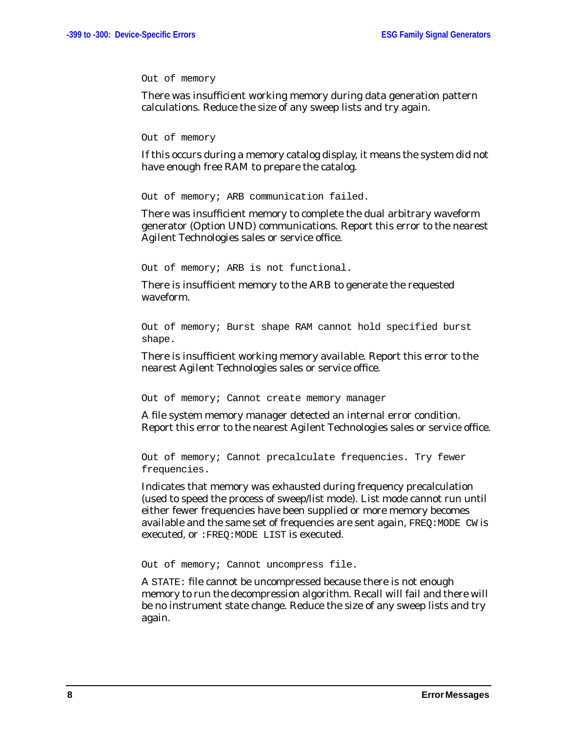Out of memory

There was insufficient working memory during data generation pattern calculations. Reduce the size of any sweep lists and try again.

Out of memory

If this occurs during a memory catalog display, it means the system did not have enough free RAM to prepare the catalog.

Out of memory; ARB communication failed.

There was insufficient memory to complete the dual arbitrary waveform generator (Option UND) communications. Report this error to the nearest Agilent Technologies sales or service office.

Out of memory; ARB is not functional.

There is insufficient memory to the ARB to generate the requested waveform.

Out of memory; Burst shape RAM cannot hold specified burst shape.

There is insufficient working memory available. Report this error to the nearest Agilent Technologies sales or service office.

Out of memory; Cannot create memory manager

A file system memory manager detected an internal error condition. Report this error to the nearest Agilent Technologies sales or service office.

Out of memory; Cannot precalculate frequencies. Try fewer frequencies.

Indicates that memory was exhausted during frequency precalculation (used to speed the process of sweep/list mode). List mode cannot run until either fewer frequencies have been supplied or more memory becomes available and the same set of frequencies are sent again, FREQ:MODE CW is executed, or :FREQ:MODE LIST is executed.

Out of memory; Cannot uncompress file.

A STATE: file cannot be uncompressed because there is not enough memory to run the decompression algorithm. Recall will fail and there will be no instrument state change. Reduce the size of any sweep lists and try again.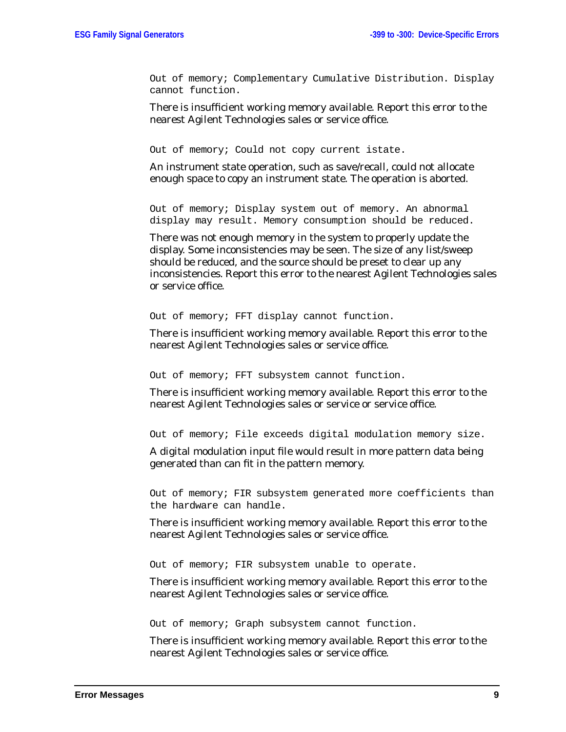Out of memory; Complementary Cumulative Distribution. Display cannot function.

There is insufficient working memory available. Report this error to the nearest Agilent Technologies sales or service office.

Out of memory; Could not copy current istate.

An instrument state operation, such as save/recall, could not allocate enough space to copy an instrument state. The operation is aborted.

Out of memory; Display system out of memory. An abnormal display may result. Memory consumption should be reduced.

There was not enough memory in the system to properly update the display. Some inconsistencies may be seen. The size of any list/sweep should be reduced, and the source should be preset to clear up any inconsistencies. Report this error to the nearest Agilent Technologies sales or service office.

Out of memory; FFT display cannot function.

There is insufficient working memory available. Report this error to the nearest Agilent Technologies sales or service office.

Out of memory; FFT subsystem cannot function.

There is insufficient working memory available. Report this error to the nearest Agilent Technologies sales or service or service office.

Out of memory; File exceeds digital modulation memory size.

A digital modulation input file would result in more pattern data being generated than can fit in the pattern memory.

Out of memory; FIR subsystem generated more coefficients than the hardware can handle.

There is insufficient working memory available. Report this error to the nearest Agilent Technologies sales or service office.

Out of memory; FIR subsystem unable to operate.

There is insufficient working memory available. Report this error to the nearest Agilent Technologies sales or service office.

Out of memory; Graph subsystem cannot function.

There is insufficient working memory available. Report this error to the nearest Agilent Technologies sales or service office.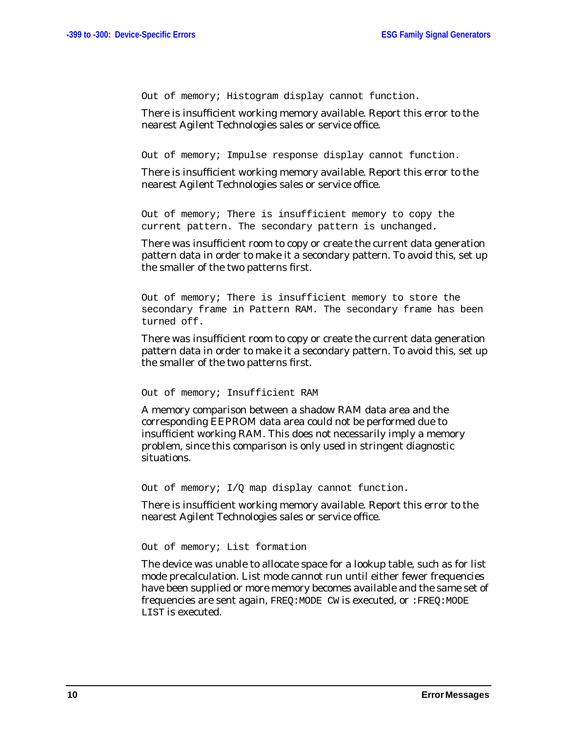Out of memory; Histogram display cannot function.

There is insufficient working memory available. Report this error to the nearest Agilent Technologies sales or service office.

Out of memory; Impulse response display cannot function.

There is insufficient working memory available. Report this error to the nearest Agilent Technologies sales or service office.

Out of memory; There is insufficient memory to copy the current pattern. The secondary pattern is unchanged.

There was insufficient room to copy or create the current data generation pattern data in order to make it a secondary pattern. To avoid this, set up the smaller of the two patterns first.

Out of memory; There is insufficient memory to store the secondary frame in Pattern RAM. The secondary frame has been turned off.

There was insufficient room to copy or create the current data generation pattern data in order to make it a secondary pattern. To avoid this, set up the smaller of the two patterns first.

```
Out of memory; Insufficient RAM
```
A memory comparison between a shadow RAM data area and the corresponding EEPROM data area could not be performed due to insufficient working RAM. This does *not* necessarily imply a memory problem, since this comparison is only used in stringent diagnostic situations.

Out of memory; I/Q map display cannot function.

There is insufficient working memory available. Report this error to the nearest Agilent Technologies sales or service office.

Out of memory; List formation

The device was unable to allocate space for a lookup table, such as for list mode precalculation. List mode cannot run until either fewer frequencies have been supplied or more memory becomes available and the same set of frequencies are sent again, FREQ:MODE CW is executed, or :FREQ:MODE LIST is executed.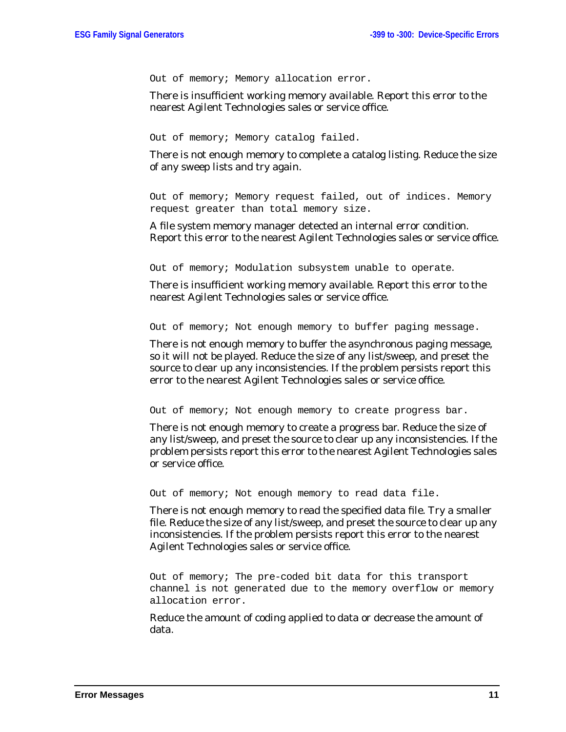Out of memory; Memory allocation error.

There is insufficient working memory available. Report this error to the nearest Agilent Technologies sales or service office.

Out of memory; Memory catalog failed.

There is not enough memory to complete a catalog listing. Reduce the size of any sweep lists and try again.

Out of memory; Memory request failed, out of indices. Memory request greater than total memory size.

A file system memory manager detected an internal error condition. Report this error to the nearest Agilent Technologies sales or service office.

Out of memory; Modulation subsystem unable to operate.

There is insufficient working memory available. Report this error to the nearest Agilent Technologies sales or service office.

Out of memory; Not enough memory to buffer paging message.

There is not enough memory to buffer the asynchronous paging message, so it will not be played. Reduce the size of any list/sweep, and preset the source to clear up any inconsistencies. If the problem persists report this error to the nearest Agilent Technologies sales or service office.

Out of memory; Not enough memory to create progress bar.

There is not enough memory to create a progress bar. Reduce the size of any list/sweep, and preset the source to clear up any inconsistencies. If the problem persists report this error to the nearest Agilent Technologies sales or service office.

Out of memory; Not enough memory to read data file.

There is not enough memory to read the specified data file. Try a smaller file. Reduce the size of any list/sweep, and preset the source to clear up any inconsistencies. If the problem persists report this error to the nearest Agilent Technologies sales or service office.

Out of memory; The pre-coded bit data for this transport channel is not generated due to the memory overflow or memory allocation error.

Reduce the amount of coding applied to data or decrease the amount of data.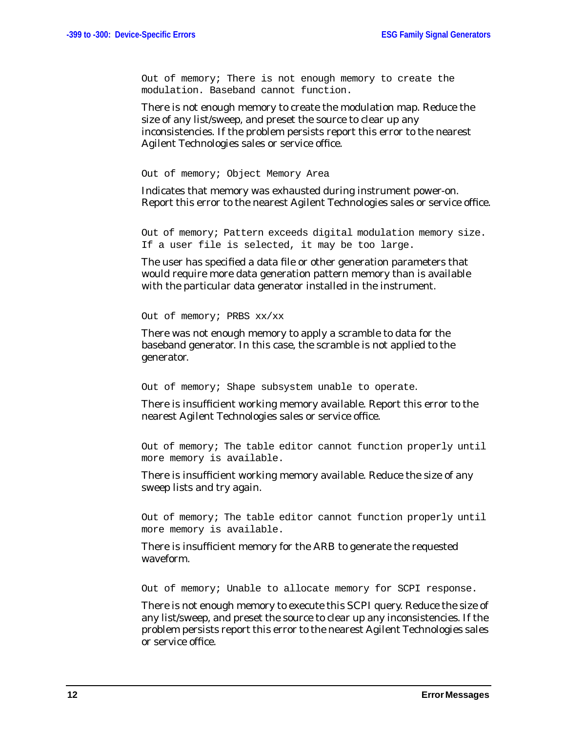Out of memory; There is not enough memory to create the modulation. Baseband cannot function.

There is not enough memory to create the modulation map. Reduce the size of any list/sweep, and preset the source to clear up any inconsistencies. If the problem persists report this error to the nearest Agilent Technologies sales or service office.

Out of memory; Object Memory Area

Indicates that memory was exhausted during instrument power-on. Report this error to the nearest Agilent Technologies sales or service office.

Out of memory; Pattern exceeds digital modulation memory size. If a user file is selected, it may be too large.

The user has specified a data file or other generation parameters that would require more data generation pattern memory than is available with the particular data generator installed in the instrument.

Out of memory; PRBS xx/xx

There was not enough memory to apply a scramble to data for the baseband generator. In this case, the scramble is not applied to the generator.

Out of memory; Shape subsystem unable to operate.

There is insufficient working memory available. Report this error to the nearest Agilent Technologies sales or service office.

Out of memory; The table editor cannot function properly until more memory is available.

There is insufficient working memory available. Reduce the size of any sweep lists and try again.

Out of memory; The table editor cannot function properly until more memory is available.

There is insufficient memory for the ARB to generate the requested waveform.

Out of memory; Unable to allocate memory for SCPI response.

There is not enough memory to execute this SCPI query. Reduce the size of any list/sweep, and preset the source to clear up any inconsistencies. If the problem persists report this error to the nearest Agilent Technologies sales or service office.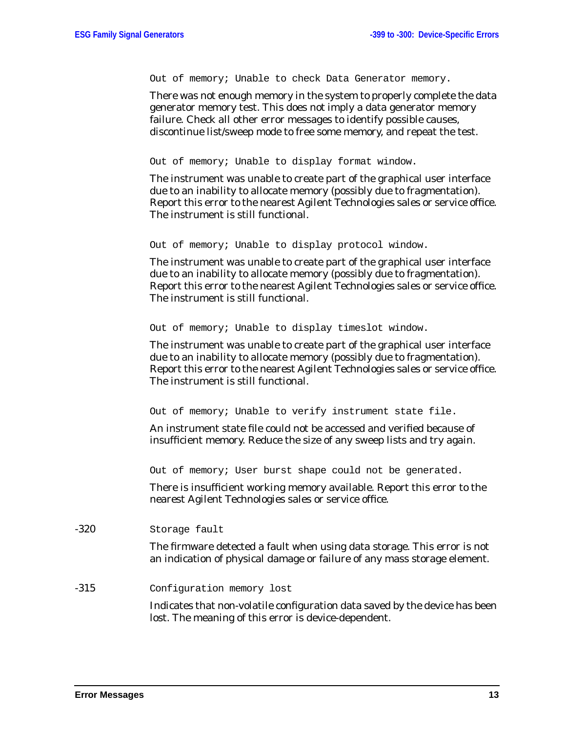Out of memory; Unable to check Data Generator memory.

There was not enough memory in the system to properly complete the data generator memory test. This does *not* imply a data generator memory failure. Check all other error messages to identify possible causes, discontinue list/sweep mode to free some memory, and repeat the test.

Out of memory; Unable to display format window.

The instrument was unable to create part of the graphical user interface due to an inability to allocate memory (possibly due to fragmentation). Report this error to the nearest Agilent Technologies sales or service office. The instrument is still functional.

Out of memory; Unable to display protocol window.

The instrument was unable to create part of the graphical user interface due to an inability to allocate memory (possibly due to fragmentation). Report this error to the nearest Agilent Technologies sales or service office. The instrument is still functional.

Out of memory; Unable to display timeslot window.

The instrument was unable to create part of the graphical user interface due to an inability to allocate memory (possibly due to fragmentation). Report this error to the nearest Agilent Technologies sales or service office. The instrument is still functional.

Out of memory; Unable to verify instrument state file.

An instrument state file could not be accessed and verified because of insufficient memory. Reduce the size of any sweep lists and try again.

Out of memory; User burst shape could not be generated.

There is insufficient working memory available. Report this error to the nearest Agilent Technologies sales or service office.

-320 Storage fault

The firmware detected a fault when using data storage. This error is not an indication of physical damage or failure of any mass storage element.

-315 Configuration memory lost

Indicates that non-volatile configuration data saved by the device has been lost. The meaning of this error is device-dependent.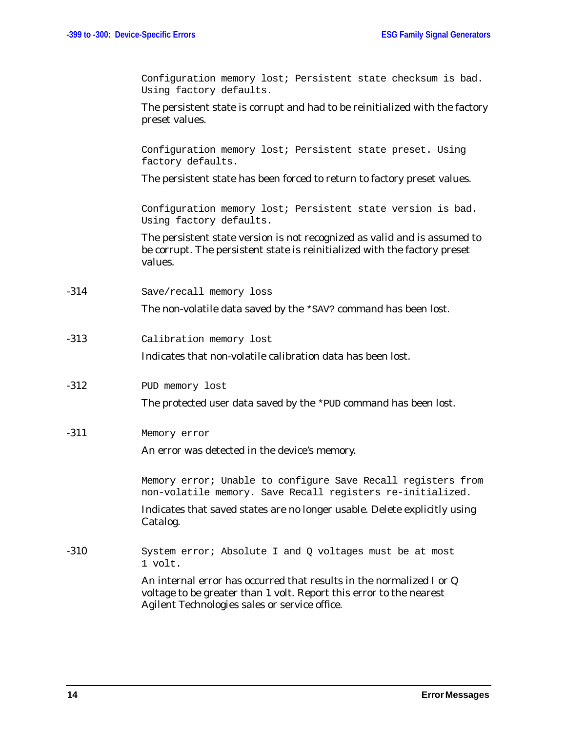Configuration memory lost; Persistent state checksum is bad. Using factory defaults.

The persistent state is corrupt and had to be reinitialized with the factory preset values.

Configuration memory lost; Persistent state preset. Using factory defaults.

The persistent state has been forced to return to factory preset values.

Configuration memory lost; Persistent state version is bad. Using factory defaults.

The persistent state version is not recognized as valid and is assumed to be corrupt. The persistent state is reinitialized with the factory preset values.

-314 Save/recall memory loss

The non-volatile data saved by the \*SAV? command has been lost.

-313 Calibration memory lost

Indicates that non-volatile calibration data has been lost.

-312 PUD memory lost

The protected user data saved by the \*PUD command has been lost.

-311 Memory error

An error was detected in the device's memory.

Memory error; Unable to configure Save Recall registers from non-volatile memory. Save Recall registers re-initialized.

Indicates that saved states are no longer usable. Delete explicitly using Catalog.

-310 System error; Absolute I and Q voltages must be at most 1 volt.

> An internal error has occurred that results in the normalized I or Q voltage to be greater than 1 volt. Report this error to the nearest Agilent Technologies sales or service office.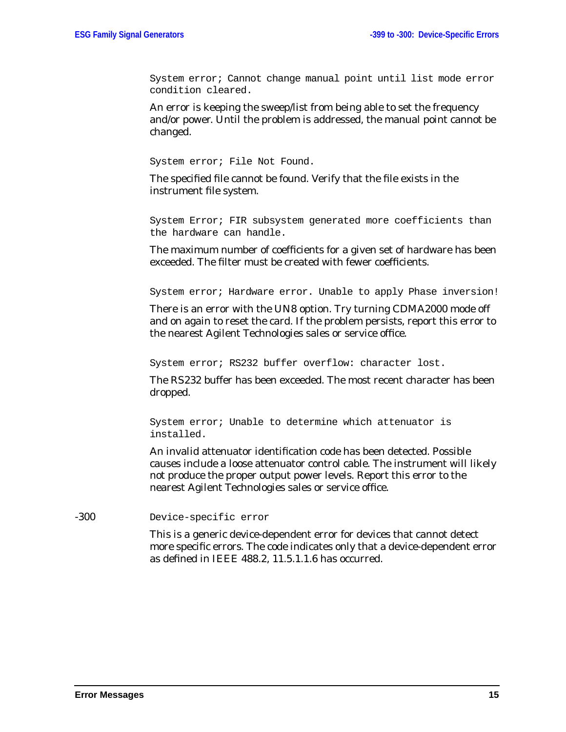System error; Cannot change manual point until list mode error condition cleared.

An error is keeping the sweep/list from being able to set the frequency and/or power. Until the problem is addressed, the manual point cannot be changed.

System error; File Not Found.

The specified file cannot be found. Verify that the file exists in the instrument file system.

System Error; FIR subsystem generated more coefficients than the hardware can handle.

The maximum number of coefficients for a given set of hardware has been exceeded. The filter must be created with fewer coefficients.

System error; Hardware error. Unable to apply Phase inversion!

There is an error with the UN8 option. Try turning CDMA2000 mode off and on again to reset the card. If the problem persists, report this error to the nearest Agilent Technologies sales or service office.

System error; RS232 buffer overflow: character lost.

The RS232 buffer has been exceeded. The most recent character has been dropped.

System error; Unable to determine which attenuator is installed.

An invalid attenuator identification code has been detected. Possible causes include a loose attenuator control cable. The instrument will likely not produce the proper output power levels. Report this error to the nearest Agilent Technologies sales or service office.

-300 Device-specific error

This is a generic device-dependent error for devices that cannot detect more specific errors. The code indicates only that a device-dependent error as defined in IEEE 488.2, 11.5.1.1.6 has occurred.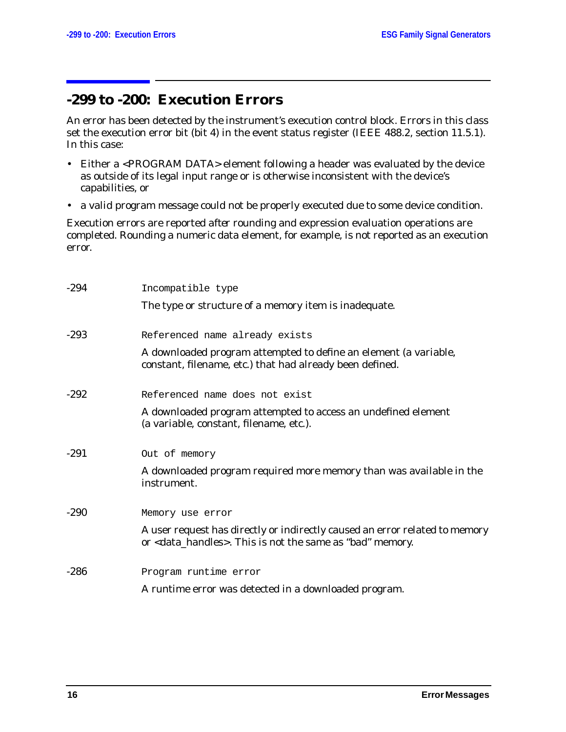### <span id="page-17-0"></span>**-299 to -200: Execution Errors**

An error has been detected by the instrument's execution control block. Errors in this class set the execution error bit (bit 4) in the event status register (IEEE 488.2, section 11.5.1). In this case:

- Either a <PROGRAM DATA> element following a header was evaluated by the device as outside of its legal input range or is otherwise inconsistent with the device's capabilities, or
- a valid program message could not be properly executed due to some device condition.

Execution errors are reported *after* rounding and expression evaluation operations are completed. Rounding a numeric data element, for example, is not reported as an execution error.

| $-294$ | Incompatible type                                                                                                                                      |
|--------|--------------------------------------------------------------------------------------------------------------------------------------------------------|
|        | The type or structure of a memory item is inadequate.                                                                                                  |
| $-293$ | Referenced name already exists                                                                                                                         |
|        | A downloaded program attempted to define an element (a variable,<br>constant, filename, etc.) that had already been defined.                           |
| $-292$ | Referenced name does not exist                                                                                                                         |
|        | A downloaded program attempted to access an undefined element<br>(a variable, constant, filename, etc.).                                               |
| $-291$ | Out of memory                                                                                                                                          |
|        | A downloaded program required more memory than was available in the<br>instrument.                                                                     |
| $-290$ | Memory use error                                                                                                                                       |
|        | A user request has directly or indirectly caused an error related to memory<br>or <data_handles>. This is not the same as "bad" memory.</data_handles> |
| $-286$ | Program runtime error                                                                                                                                  |
|        | A runtime error was detected in a downloaded program.                                                                                                  |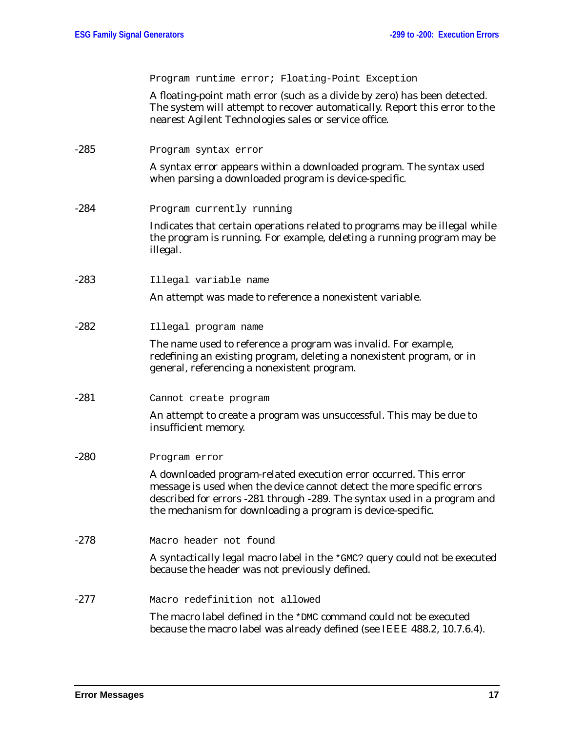Program runtime error; Floating-Point Exception

A floating-point math error (such as a divide by zero) has been detected. The system will attempt to recover automatically. Report this error to the nearest Agilent Technologies sales or service office.

-285 Program syntax error

A syntax error appears within a downloaded program. The syntax used when parsing a downloaded program is device-specific.

-284 Program currently running

Indicates that certain operations related to programs may be illegal while the program is running. For example, deleting a running program may be illegal.

-283 Illegal variable name

An attempt was made to reference a nonexistent variable.

-282 Illegal program name

The name used to reference a program was invalid. For example, redefining an existing program, deleting a nonexistent program, or in general, referencing a nonexistent program.

-281 Cannot create program

An attempt to create a program was unsuccessful. This may be due to insufficient memory.

-280 Program error

A downloaded program-related execution error occurred. This error message is used when the device cannot detect the more specific errors described for errors -281 through -289. The syntax used in a program and the mechanism for downloading a program is device-specific.

-278 Macro header not found

A syntactically legal macro label in the \*GMC? query could not be executed because the header was not previously defined.

-277 Macro redefinition not allowed

The macro label defined in the \*DMC command could not be executed because the macro label was already defined (see IEEE 488.2, 10.7.6.4).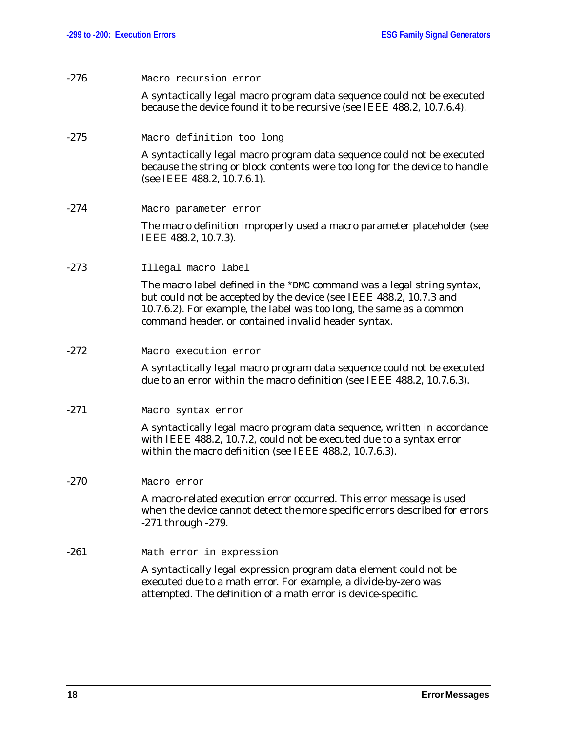| $-276$ | Macro recursion error                                                                                                                                                                                                                                                        |
|--------|------------------------------------------------------------------------------------------------------------------------------------------------------------------------------------------------------------------------------------------------------------------------------|
|        | A syntactically legal macro program data sequence could not be executed<br>because the device found it to be recursive (see IEEE 488.2, 10.7.6.4).                                                                                                                           |
| $-275$ | Macro definition too long                                                                                                                                                                                                                                                    |
|        | A syntactically legal macro program data sequence could not be executed<br>because the string or block contents were too long for the device to handle<br>(see IEEE 488.2, 10.7.6.1).                                                                                        |
| $-274$ | Macro parameter error                                                                                                                                                                                                                                                        |
|        | The macro definition improperly used a macro parameter placeholder (see<br>IEEE 488.2, 10.7.3).                                                                                                                                                                              |
| $-273$ | Illegal macro label                                                                                                                                                                                                                                                          |
|        | The macro label defined in the *DMC command was a legal string syntax,<br>but could not be accepted by the device (see IEEE 488.2, 10.7.3 and<br>10.7.6.2). For example, the label was too long, the same as a common<br>command header, or contained invalid header syntax. |
| $-272$ | Macro execution error                                                                                                                                                                                                                                                        |
|        | A syntactically legal macro program data sequence could not be executed<br>due to an error within the macro definition (see IEEE 488.2, 10.7.6.3).                                                                                                                           |
| $-271$ | Macro syntax error                                                                                                                                                                                                                                                           |
|        | A syntactically legal macro program data sequence, written in accordance<br>with IEEE 488.2, 10.7.2, could not be executed due to a syntax error<br>within the macro definition (see IEEE 488.2, 10.7.6.3).                                                                  |
| $-270$ | Macro error                                                                                                                                                                                                                                                                  |
|        | A macro-related execution error occurred. This error message is used<br>when the device cannot detect the more specific errors described for errors<br>$-271$ through $-279$ .                                                                                               |
| $-261$ | Math error in expression                                                                                                                                                                                                                                                     |
|        | A syntactically legal expression program data element could not be<br>executed due to a math error. For example, a divide-by-zero was<br>attempted. The definition of a math error is device-specific.                                                                       |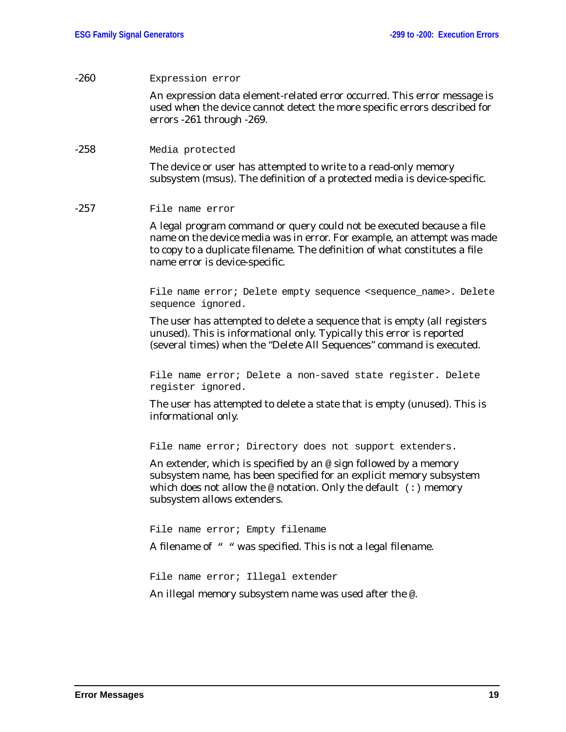| $-260$ | Expression error                                                                                                                                                                                                                                                 |
|--------|------------------------------------------------------------------------------------------------------------------------------------------------------------------------------------------------------------------------------------------------------------------|
|        | An expression data element-related error occurred. This error message is<br>used when the device cannot detect the more specific errors described for<br>errors -261 through -269.                                                                               |
| $-258$ | Media protected                                                                                                                                                                                                                                                  |
|        | The device or user has attempted to write to a read-only memory<br>subsystem (msus). The definition of a protected media is device-specific.                                                                                                                     |
| -257   | File name error                                                                                                                                                                                                                                                  |
|        | A legal program command or query could not be executed because a file<br>name on the device media was in error. For example, an attempt was made<br>to copy to a duplicate filename. The definition of what constitutes a file<br>name error is device-specific. |
|        | File name error; Delete empty sequence <sequence_name>. Delete<br/>sequence ignored.</sequence_name>                                                                                                                                                             |
|        | The user has attempted to delete a sequence that is empty (all registers<br>unused). This is informational only. Typically this error is reported<br>(several times) when the "Delete All Sequences" command is executed.                                        |
|        | File name error; Delete a non-saved state register. Delete<br>register ignored.                                                                                                                                                                                  |
|        | The user has attempted to delete a state that is empty (unused). This is<br>informational only.                                                                                                                                                                  |
|        | File name error; Directory does not support extenders.                                                                                                                                                                                                           |
|        | An extender, which is specified by an $\circ$ sign followed by a memory<br>subsystem name, has been specified for an explicit memory subsystem<br>which does not allow the $@$ notation. Only the default $( : )$ memory<br>subsystem allows extenders.          |
|        | File name error; Empty filename                                                                                                                                                                                                                                  |
|        | A filename of " " was specified. This is not a legal filename.                                                                                                                                                                                                   |
|        | File name error; Illegal extender                                                                                                                                                                                                                                |
|        | An illegal memory subsystem name was used after the @.                                                                                                                                                                                                           |
|        |                                                                                                                                                                                                                                                                  |
|        |                                                                                                                                                                                                                                                                  |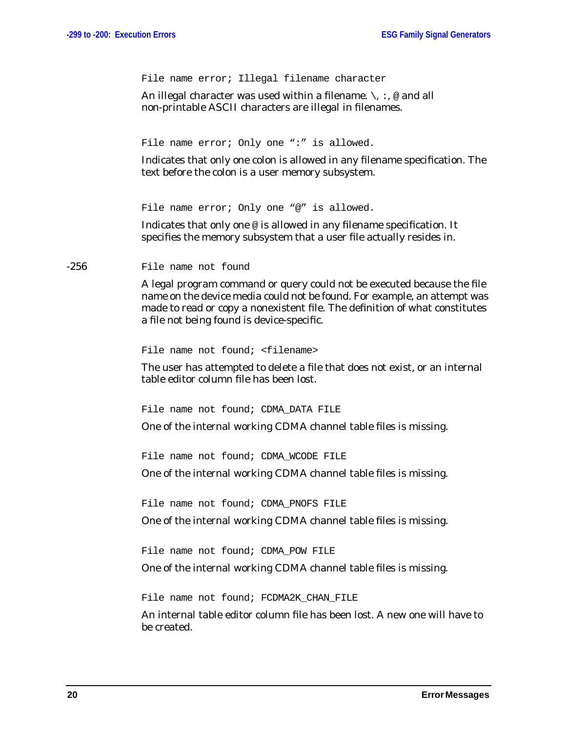File name error; Illegal filename character

An illegal character was used within a filename.  $\setminus$ , :, @ and all non-printable ASCII characters are illegal in filenames.

File name error; Only one ":" is allowed.

Indicates that only one colon is allowed in any filename specification. The text before the colon is a user memory subsystem.

File name error; Only one "@" is allowed.

Indicates that only one @ is allowed in any filename specification. It specifies the memory subsystem that a user file actually resides in.

-256 File name not found

A legal program command or query could not be executed because the file name on the device media could not be found. For example, an attempt was made to read or copy a nonexistent file. The definition of what constitutes a file not being found is device-specific.

File name not found; <filename>

The user has attempted to delete a file that does not exist, or an internal table editor column file has been lost.

File name not found; CDMA DATA FILE

One of the internal working CDMA channel table files is missing.

File name not found; CDMA WCODE FILE

One of the internal working CDMA channel table files is missing.

File name not found; CDMA PNOFS FILE

One of the internal working CDMA channel table files is missing.

File name not found; CDMA\_POW FILE

One of the internal working CDMA channel table files is missing.

File name not found; FCDMA2K CHAN FILE

An internal table editor column file has been lost. A new one will have to be created.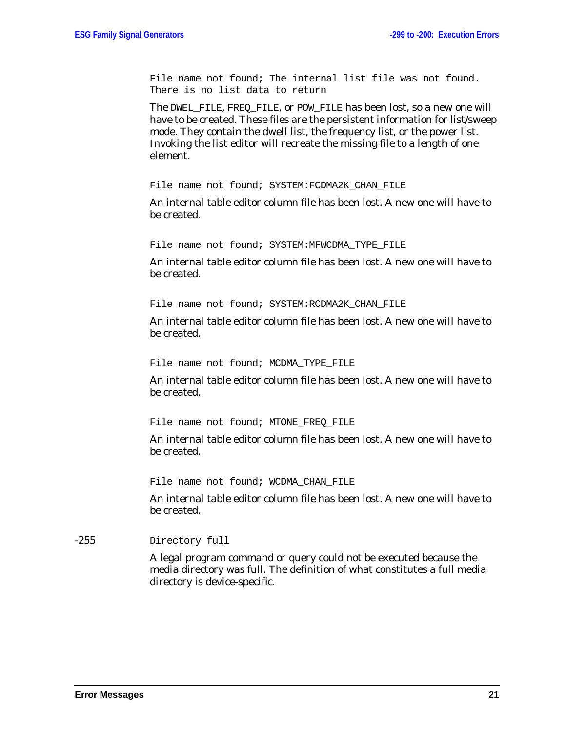File name not found; The internal list file was not found. There is no list data to return

The DWEL\_FILE, FREQ\_FILE, or POW\_FILE has been lost, so a new one will have to be created. These files are the persistent information for list/sweep mode. They contain the dwell list, the frequency list, or the power list. Invoking the list editor will recreate the missing file to a length of one element.

File name not found; SYSTEM: FCDMA2K CHAN FILE

An internal table editor column file has been lost. A new one will have to be created.

File name not found; SYSTEM: MFWCDMA TYPE FILE

An internal table editor column file has been lost. A new one will have to be created.

File name not found; SYSTEM:RCDMA2K CHAN FILE

An internal table editor column file has been lost. A new one will have to be created.

File name not found; MCDMA TYPE FILE

An internal table editor column file has been lost. A new one will have to be created.

File name not found; MTONE\_FREQ\_FILE

An internal table editor column file has been lost. A new one will have to be created.

File name not found; WCDMA CHAN FILE

An internal table editor column file has been lost. A new one will have to be created.

-255 Directory full

A legal program command or query could not be executed because the media directory was full. The definition of what constitutes a full media directory is device-specific.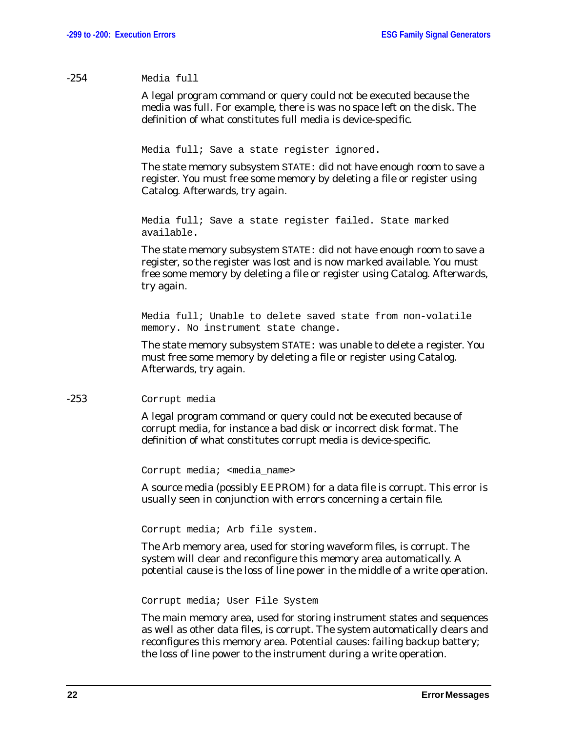#### -254 Media full

A legal program command or query could not be executed because the media was full. For example, there is was no space left on the disk. The definition of what constitutes full media is device-specific.

Media full; Save a state register ignored.

The state memory subsystem STATE: did not have enough room to save a register. You must free some memory by deleting a file or register using Catalog. Afterwards, try again.

```
Media full; Save a state register failed. State marked
available.
```
The state memory subsystem STATE: did not have enough room to save a register, so the register was lost and is now marked available. You must free some memory by deleting a file or register using Catalog. Afterwards, try again.

Media full; Unable to delete saved state from non-volatile memory. No instrument state change.

The state memory subsystem STATE: was unable to delete a register. You must free some memory by deleting a file or register using Catalog. Afterwards, try again.

#### -253 Corrupt media

A legal program command or query could not be executed because of corrupt media, for instance a bad disk or incorrect disk format. The definition of what constitutes corrupt media is device-specific.

Corrupt media; <media name>

A source media (possibly EEPROM) for a data file is corrupt. This error is usually seen in conjunction with errors concerning a certain file.

Corrupt media; Arb file system.

The Arb memory area, used for storing waveform files, is corrupt. The system will clear and reconfigure this memory area automatically. A potential cause is the loss of line power in the middle of a write operation.

Corrupt media; User File System

The main memory area, used for storing instrument states and sequences as well as other data files, is corrupt. The system automatically clears and reconfigures this memory area. Potential causes: failing backup battery; the loss of line power to the instrument during a write operation.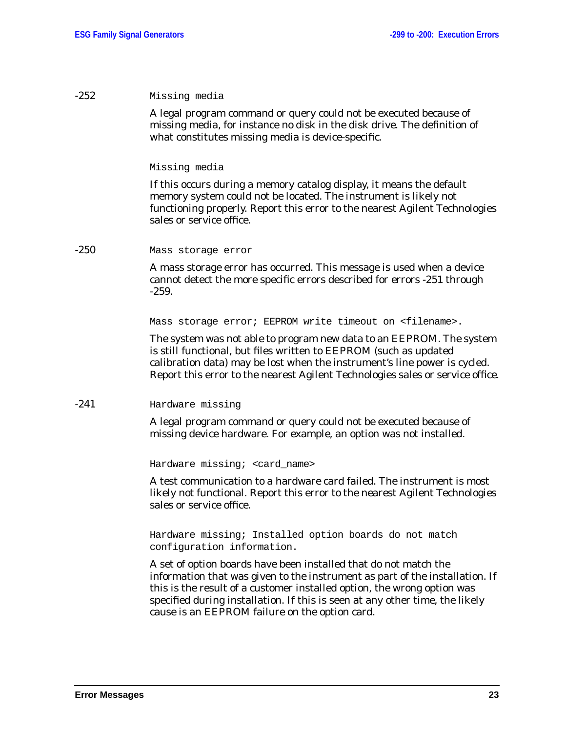#### -252 Missing media

A legal program command or query could not be executed because of missing media, for instance no disk in the disk drive. The definition of what constitutes missing media is device-specific.

#### Missing media

If this occurs during a memory catalog display, it means the default memory system could not be located. The instrument is likely not functioning properly. Report this error to the nearest Agilent Technologies sales or service office.

#### -250 Mass storage error

A mass storage error has occurred. This message is used when a device cannot detect the more specific errors described for errors -251 through -259.

Mass storage error; EEPROM write timeout on <filename>.

The system was not able to program new data to an EEPROM. The system is still functional, but files written to EEPROM (such as updated calibration data) may be lost when the instrument's line power is cycled. Report this error to the nearest Agilent Technologies sales or service office.

#### -241 Hardware missing

A legal program command or query could not be executed because of missing device hardware. For example, an option was not installed.

Hardware missing; <card\_name>

A test communication to a hardware card failed. The instrument is most likely not functional. Report this error to the nearest Agilent Technologies sales or service office.

Hardware missing; Installed option boards do not match configuration information.

A set of option boards have been installed that do not match the information that was given to the instrument as part of the installation. If this is the result of a customer installed option, the wrong option was specified during installation. If this is seen at any other time, the likely cause is an EEPROM failure on the option card.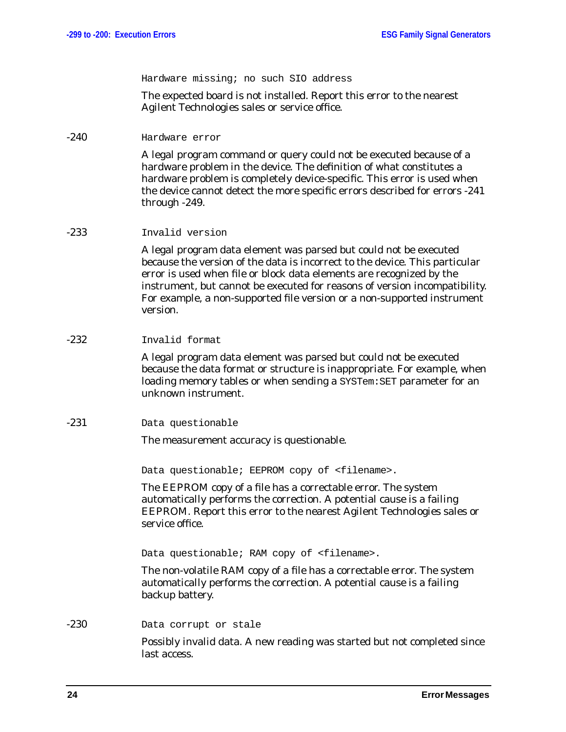Hardware missing; no such SIO address

The expected board is not installed. Report this error to the nearest Agilent Technologies sales or service office.

-240 Hardware error

A legal program command or query could not be executed because of a hardware problem in the device. The definition of what constitutes a hardware problem is completely device-specific. This error is used when the device cannot detect the more specific errors described for errors -241 through -249.

#### -233 Invalid version

A legal program data element was parsed but could not be executed because the version of the data is incorrect to the device. This particular error is used when file or block data elements are recognized by the instrument, but cannot be executed for reasons of version incompatibility. For example, a non-supported file version or a non-supported instrument version.

#### -232 Invalid format

A legal program data element was parsed but could not be executed because the data format or structure is inappropriate. For example, when loading memory tables or when sending a SYSTem: SET parameter for an unknown instrument.

-231 Data questionable

The measurement accuracy is questionable.

Data questionable; EEPROM copy of <filename>.

The EEPROM copy of a file has a correctable error. The system automatically performs the correction. A potential cause is a failing EEPROM. Report this error to the nearest Agilent Technologies sales or service office.

Data questionable; RAM copy of <filename>.

The non-volatile RAM copy of a file has a correctable error. The system automatically performs the correction. A potential cause is a failing backup battery.

-230 Data corrupt or stale

Possibly invalid data. A new reading was started but not completed since last access.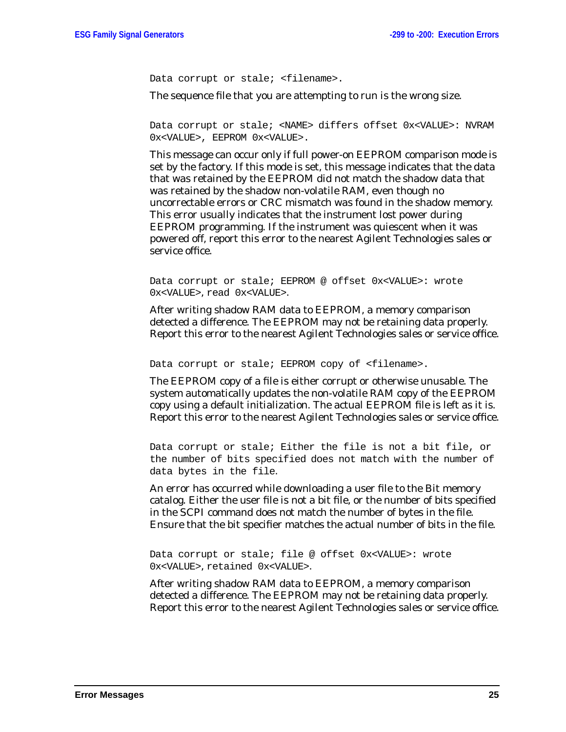Data corrupt or stale; <filename>.

The sequence file that you are attempting to run is the wrong size.

Data corrupt or stale; <NAME> differs offset 0x<VALUE>: NVRAM 0x<VALUE>, EEPROM 0x<VALUE>.

This message can occur only if full power-on EEPROM comparison mode is set by the factory. If this mode is set, this message indicates that the data that was retained by the EEPROM did not match the shadow data that was retained by the shadow non-volatile RAM, even though no uncorrectable errors or CRC mismatch was found in the shadow memory. This error usually indicates that the instrument lost power during EEPROM programming. If the instrument was quiescent when it was powered off, report this error to the nearest Agilent Technologies sales or service office.

Data corrupt or stale; EEPROM @ offset 0x<VALUE>: wrote 0x<VALUE>, read 0x<VALUE>.

After writing shadow RAM data to EEPROM, a memory comparison detected a difference. The EEPROM may not be retaining data properly. Report this error to the nearest Agilent Technologies sales or service office.

Data corrupt or stale; EEPROM copy of <filename>.

The EEPROM copy of a file is either corrupt or otherwise unusable. The system automatically updates the non-volatile RAM copy of the EEPROM copy using a default initialization. The actual EEPROM file is left as it is. Report this error to the nearest Agilent Technologies sales or service office.

Data corrupt or stale; Either the file is not a bit file, or the number of bits specified does not match with the number of data bytes in the file.

An error has occurred while downloading a user file to the Bit memory catalog. Either the user file is not a bit file, or the number of bits specified in the SCPI command does not match the number of bytes in the file. Ensure that the bit specifier matches the actual number of bits in the file.

Data corrupt or stale; file @ offset 0x<VALUE>: wrote 0x<VALUE>, retained 0x<VALUE>.

After writing shadow RAM data to EEPROM, a memory comparison detected a difference. The EEPROM may not be retaining data properly. Report this error to the nearest Agilent Technologies sales or service office.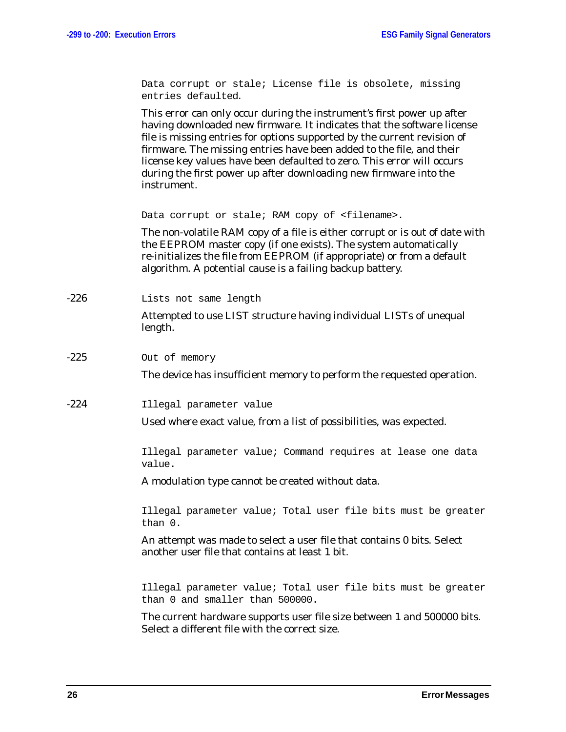Data corrupt or stale; License file is obsolete, missing entries defaulted.

This error can only occur during the instrument's first power up after having downloaded new firmware. It indicates that the software license file is missing entries for options supported by the current revision of firmware. The missing entries have been added to the file, and their license key values have been defaulted to zero. This error will occurs during the first power up after downloading new firmware into the instrument.

Data corrupt or stale; RAM copy of <filename>.

The non-volatile RAM copy of a file is either corrupt or is out of date with the EEPROM master copy (if one exists). The system automatically re-initializes the file from EEPROM (if appropriate) or from a default algorithm. A potential cause is a failing backup battery.

-226 Lists not same length

Attempted to use LIST structure having individual LISTs of unequal length.

-225 Out of memory

The device has insufficient memory to perform the requested operation.

-224 Illegal parameter value

Used where exact value, from a list of possibilities, was expected.

Illegal parameter value; Command requires at lease one data value.

A modulation type cannot be created without data.

Illegal parameter value; Total user file bits must be greater than 0.

An attempt was made to select a user file that contains 0 bits. Select another user file that contains at least 1 bit.

Illegal parameter value; Total user file bits must be greater than 0 and smaller than 500000.

The current hardware supports user file size between 1 and 500000 bits. Select a different file with the correct size.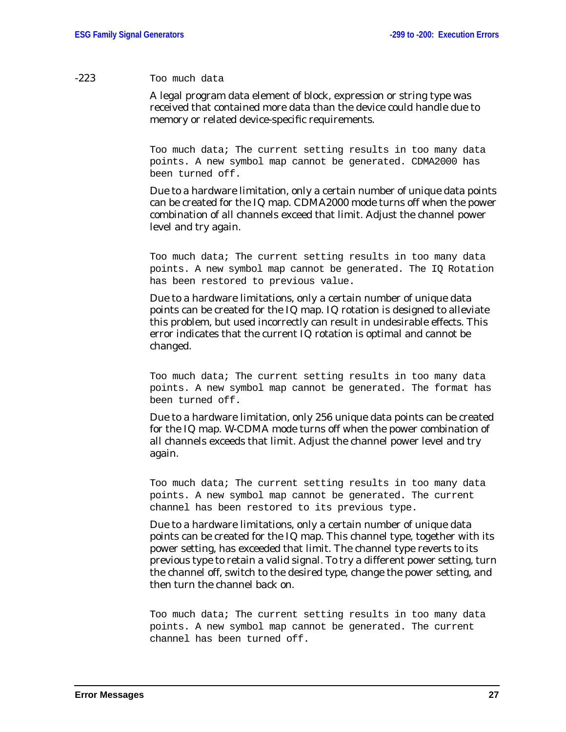#### -223 Too much data

A legal program data element of block, expression or string type was received that contained more data than the device could handle due to memory or related device-specific requirements.

Too much data; The current setting results in too many data points. A new symbol map cannot be generated. CDMA2000 has been turned off.

Due to a hardware limitation, only a certain number of unique data points can be created for the IQ map. CDMA2000 mode turns off when the power combination of all channels exceed that limit. Adjust the channel power level and try again.

Too much data; The current setting results in too many data points. A new symbol map cannot be generated. The IQ Rotation has been restored to previous value.

Due to a hardware limitations, only a certain number of unique data points can be created for the IQ map. IQ rotation is designed to alleviate this problem, but used incorrectly can result in undesirable effects. This error indicates that the current IQ rotation is optimal and cannot be changed.

Too much data; The current setting results in too many data points. A new symbol map cannot be generated. The format has been turned off.

Due to a hardware limitation, only 256 unique data points can be created for the IQ map. W-CDMA mode turns off when the power combination of all channels exceeds that limit. Adjust the channel power level and try again.

Too much data; The current setting results in too many data points. A new symbol map cannot be generated. The current channel has been restored to its previous type.

Due to a hardware limitations, only a certain number of unique data points can be created for the IQ map. This channel type, together with its power setting, has exceeded that limit. The channel type reverts to its previous type to retain a valid signal. To try a different power setting, turn the channel off, switch to the desired type, change the power setting, and then turn the channel back on.

Too much data; The current setting results in too many data points. A new symbol map cannot be generated. The current channel has been turned off.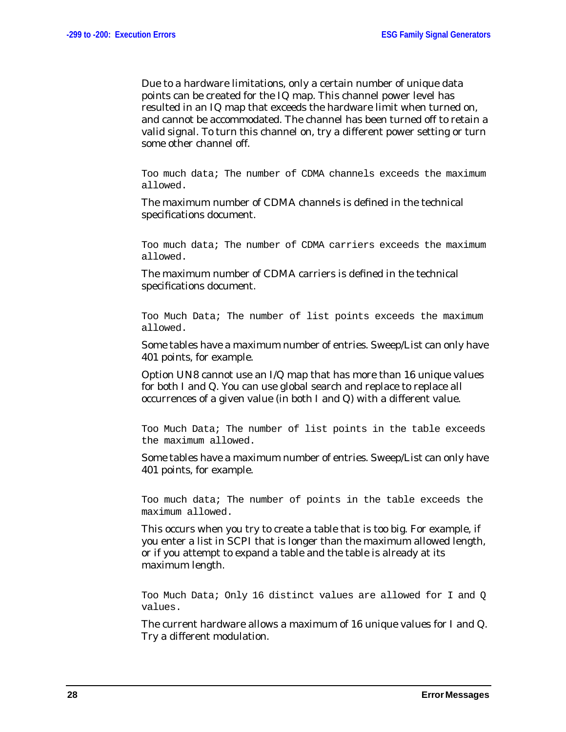Due to a hardware limitations, only a certain number of unique data points can be created for the IQ map. This channel power level has resulted in an IQ map that exceeds the hardware limit when turned on, and cannot be accommodated. The channel has been turned off to retain a valid signal. To turn this channel on, try a different power setting or turn some other channel off.

Too much data; The number of CDMA channels exceeds the maximum allowed.

The maximum number of CDMA channels is defined in the technical specifications document.

Too much data; The number of CDMA carriers exceeds the maximum allowed.

The maximum number of CDMA carriers is defined in the technical specifications document.

Too Much Data; The number of list points exceeds the maximum allowed.

Some tables have a maximum number of entries. Sweep/List can only have 401 points, for example.

Option UN8 cannot use an I/Q map that has more than 16 unique values for both I and Q. You can use global search and replace to replace all occurrences of a given value (in both I and Q) with a different value.

Too Much Data; The number of list points in the table exceeds the maximum allowed.

Some tables have a maximum number of entries. Sweep/List can only have 401 points, for example.

Too much data; The number of points in the table exceeds the maximum allowed.

This occurs when you try to create a table that is too big. For example, if you enter a list in SCPI that is longer than the maximum allowed length, or if you attempt to expand a table and the table is already at its maximum length.

Too Much Data; Only 16 distinct values are allowed for I and Q values.

The current hardware allows a maximum of 16 unique values for I and Q. Try a different modulation.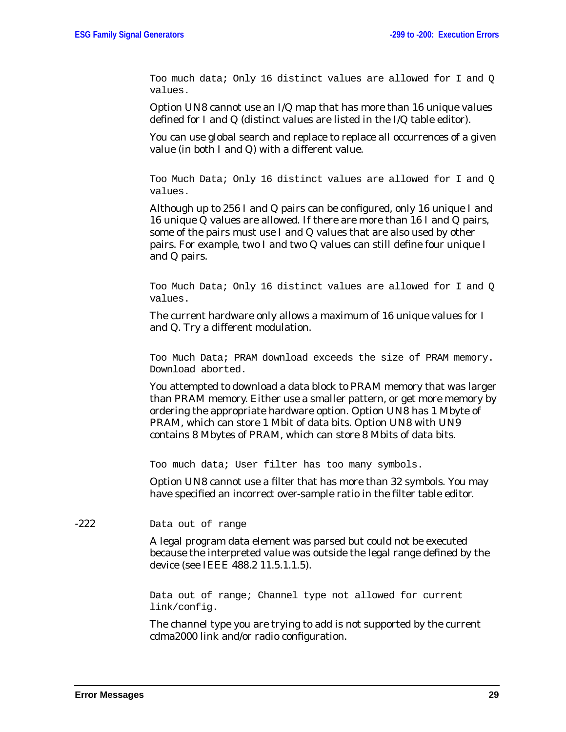Too much data; Only 16 distinct values are allowed for I and Q values.

Option UN8 cannot use an I/Q map that has more than 16 unique values defined for I and Q (distinct values are listed in the I/Q table editor).

You can use global search and replace to replace all occurrences of a given value (in both I and Q) with a different value.

Too Much Data; Only 16 distinct values are allowed for I and Q values.

Although up to 256 I and Q pairs can be configured, only 16 unique I and 16 unique Q values are allowed. If there are more than 16 I and Q pairs, some of the pairs must use I and Q values that are also used by other pairs. For example, two I and two Q values can still define four unique I and Q pairs.

Too Much Data; Only 16 distinct values are allowed for I and Q values.

The current hardware only allows a maximum of 16 unique values for I and Q. Try a different modulation.

Too Much Data; PRAM download exceeds the size of PRAM memory. Download aborted.

You attempted to download a data block to PRAM memory that was larger than PRAM memory. Either use a smaller pattern, or get more memory by ordering the appropriate hardware option. Option UN8 has 1 Mbyte of PRAM, which can store 1 Mbit of data bits. Option UN8 with UN9 contains 8 Mbytes of PRAM, which can store 8 Mbits of data bits.

Too much data; User filter has too many symbols.

Option UN8 cannot use a filter that has more than 32 symbols. You may have specified an incorrect over-sample ratio in the filter table editor.

-222 Data out of range

A legal program data element was parsed but could not be executed because the interpreted value was outside the legal range defined by the device (see IEEE 488.2 11.5.1.1.5).

Data out of range; Channel type not allowed for current link/config.

The channel type you are trying to add is not supported by the current cdma2000 link and/or radio configuration.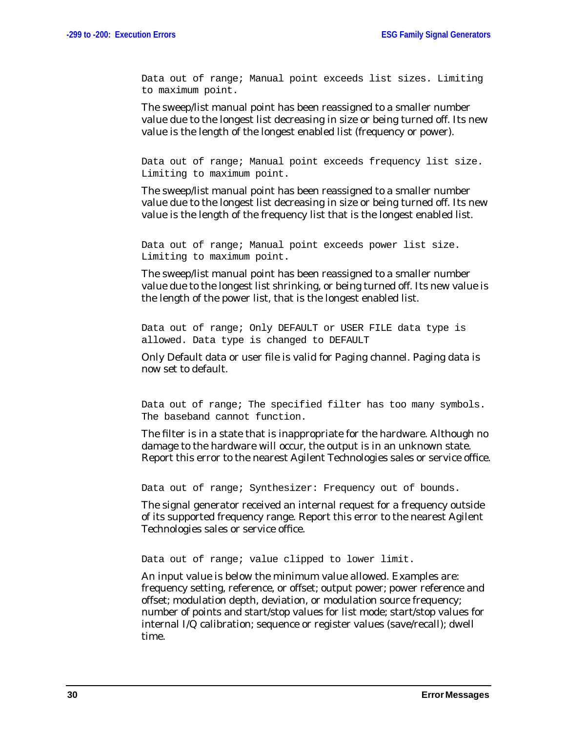Data out of range; Manual point exceeds list sizes. Limiting to maximum point.

The sweep/list manual point has been reassigned to a smaller number value due to the longest list decreasing in size or being turned off. Its new value is the length of the longest enabled list (frequency or power).

Data out of range; Manual point exceeds frequency list size. Limiting to maximum point.

The sweep/list manual point has been reassigned to a smaller number value due to the longest list decreasing in size or being turned off. Its new value is the length of the frequency list that is the longest enabled list.

Data out of range; Manual point exceeds power list size. Limiting to maximum point.

The sweep/list manual point has been reassigned to a smaller number value due to the longest list shrinking, or being turned off. Its new value is the length of the power list, that is the longest enabled list.

Data out of range; Only DEFAULT or USER FILE data type is allowed. Data type is changed to DEFAULT

Only Default data or user file is valid for Paging channel. Paging data is now set to default.

Data out of range; The specified filter has too many symbols. The baseband cannot function.

The filter is in a state that is inappropriate for the hardware. Although no damage to the hardware will occur, the output is in an unknown state. Report this error to the nearest Agilent Technologies sales or service office.

Data out of range; Synthesizer: Frequency out of bounds.

The signal generator received an internal request for a frequency outside of its supported frequency range. Report this error to the nearest Agilent Technologies sales or service office.

Data out of range; value clipped to lower limit.

An input value is below the minimum value allowed. Examples are: frequency setting, reference, or offset; output power; power reference and offset; modulation depth, deviation, or modulation source frequency; number of points and start/stop values for list mode; start/stop values for internal I/Q calibration; sequence or register values (save/recall); dwell time.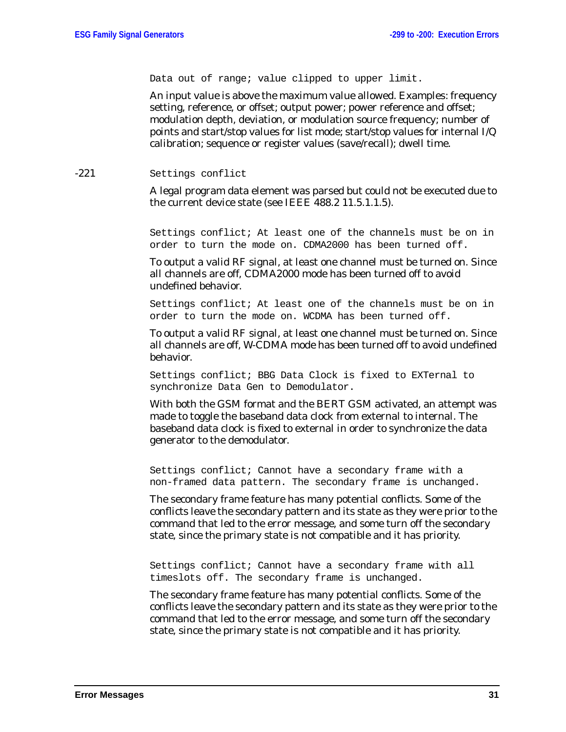Data out of range; value clipped to upper limit.

An input value is above the maximum value allowed. Examples: frequency setting, reference, or offset; output power; power reference and offset; modulation depth, deviation, or modulation source frequency; number of points and start/stop values for list mode; start/stop values for internal I/Q calibration; sequence or register values (save/recall); dwell time.

#### -221 Settings conflict

A legal program data element was parsed but could not be executed due to the current device state (see IEEE 488.2 11.5.1.1.5).

Settings conflict; At least one of the channels must be on in order to turn the mode on. CDMA2000 has been turned off.

To output a valid RF signal, at least one channel must be turned on. Since all channels are off, CDMA2000 mode has been turned off to avoid undefined behavior.

Settings conflict; At least one of the channels must be on in order to turn the mode on. WCDMA has been turned off.

To output a valid RF signal, at least one channel must be turned on. Since all channels are off, W-CDMA mode has been turned off to avoid undefined behavior.

Settings conflict; BBG Data Clock is fixed to EXTernal to synchronize Data Gen to Demodulator.

With both the GSM format and the BERT GSM activated, an attempt was made to toggle the baseband data clock from external to internal. The baseband data clock is fixed to external in order to synchronize the data generator to the demodulator.

Settings conflict; Cannot have a secondary frame with a non-framed data pattern. The secondary frame is unchanged.

The secondary frame feature has many potential conflicts. Some of the conflicts leave the secondary pattern and its state as they were prior to the command that led to the error message, and some turn off the secondary state, since the primary state is not compatible and it has priority.

Settings conflict; Cannot have a secondary frame with all timeslots off. The secondary frame is unchanged.

The secondary frame feature has many potential conflicts. Some of the conflicts leave the secondary pattern and its state as they were prior to the command that led to the error message, and some turn off the secondary state, since the primary state is not compatible and it has priority.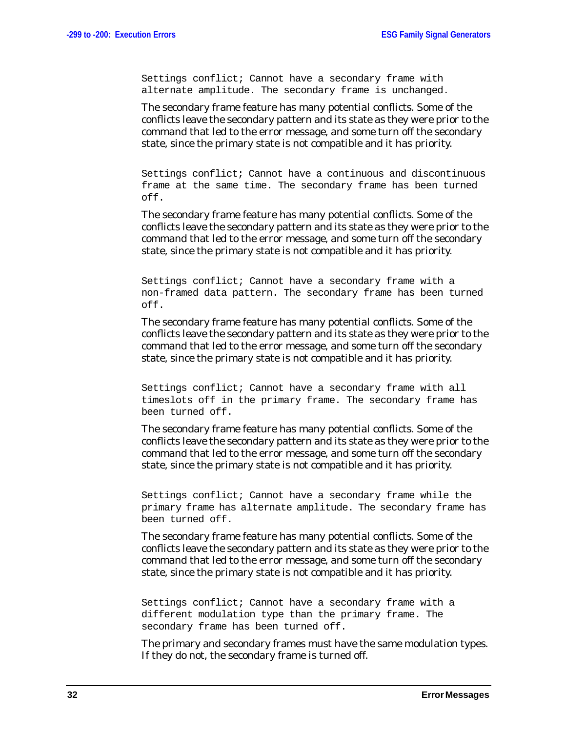Settings conflict; Cannot have a secondary frame with alternate amplitude. The secondary frame is unchanged.

The secondary frame feature has many potential conflicts. Some of the conflicts leave the secondary pattern and its state as they were prior to the command that led to the error message, and some turn off the secondary state, since the primary state is not compatible and it has priority.

Settings conflict; Cannot have a continuous and discontinuous frame at the same time. The secondary frame has been turned off.

The secondary frame feature has many potential conflicts. Some of the conflicts leave the secondary pattern and its state as they were prior to the command that led to the error message, and some turn off the secondary state, since the primary state is not compatible and it has priority.

Settings conflict; Cannot have a secondary frame with a non-framed data pattern. The secondary frame has been turned off.

The secondary frame feature has many potential conflicts. Some of the conflicts leave the secondary pattern and its state as they were prior to the command that led to the error message, and some turn off the secondary state, since the primary state is not compatible and it has priority.

Settings conflict; Cannot have a secondary frame with all timeslots off in the primary frame. The secondary frame has been turned off.

The secondary frame feature has many potential conflicts. Some of the conflicts leave the secondary pattern and its state as they were prior to the command that led to the error message, and some turn off the secondary state, since the primary state is not compatible and it has priority.

Settings conflict; Cannot have a secondary frame while the primary frame has alternate amplitude. The secondary frame has been turned off.

The secondary frame feature has many potential conflicts. Some of the conflicts leave the secondary pattern and its state as they were prior to the command that led to the error message, and some turn off the secondary state, since the primary state is not compatible and it has priority.

Settings conflict; Cannot have a secondary frame with a different modulation type than the primary frame. The secondary frame has been turned off.

The primary and secondary frames must have the same modulation types. If they do not, the secondary frame is turned off.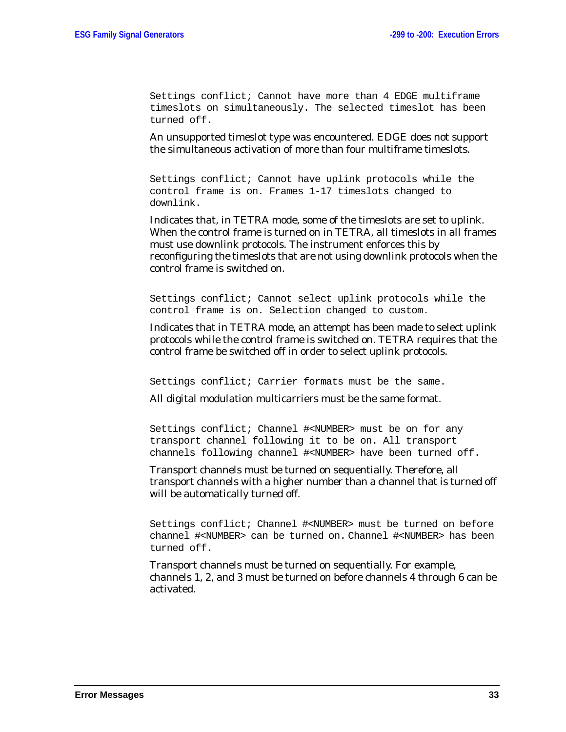Settings conflict; Cannot have more than 4 EDGE multiframe timeslots on simultaneously. The selected timeslot has been turned off.

An unsupported timeslot type was encountered. EDGE does not support the simultaneous activation of more than four multiframe timeslots.

Settings conflict; Cannot have uplink protocols while the control frame is on. Frames 1-17 timeslots changed to downlink.

Indicates that, in TETRA mode, some of the timeslots are set to uplink. When the control frame is turned on in TETRA, all timeslots in all frames must use downlink protocols. The instrument enforces this by reconfiguring the timeslots that are not using downlink protocols when the control frame is switched on.

Settings conflict; Cannot select uplink protocols while the control frame is on. Selection changed to custom.

Indicates that in TETRA mode, an attempt has been made to select uplink protocols while the control frame is switched on. TETRA requires that the control frame be switched off in order to select uplink protocols.

Settings conflict; Carrier formats must be the same.

All digital modulation multicarriers must be the same format.

Settings conflict; Channel #<NUMBER> must be on for any transport channel following it to be on. All transport channels following channel #<NUMBER> have been turned off.

Transport channels must be turned on sequentially. Therefore, all transport channels with a higher number than a channel that is turned off will be automatically turned off.

Settings conflict; Channel #<NUMBER> must be turned on before channel #<NUMBER> can be turned on. Channel #<NUMBER> has been turned off.

Transport channels must be turned on sequentially. For example, channels 1, 2, and 3 must be turned on before channels 4 through 6 can be activated.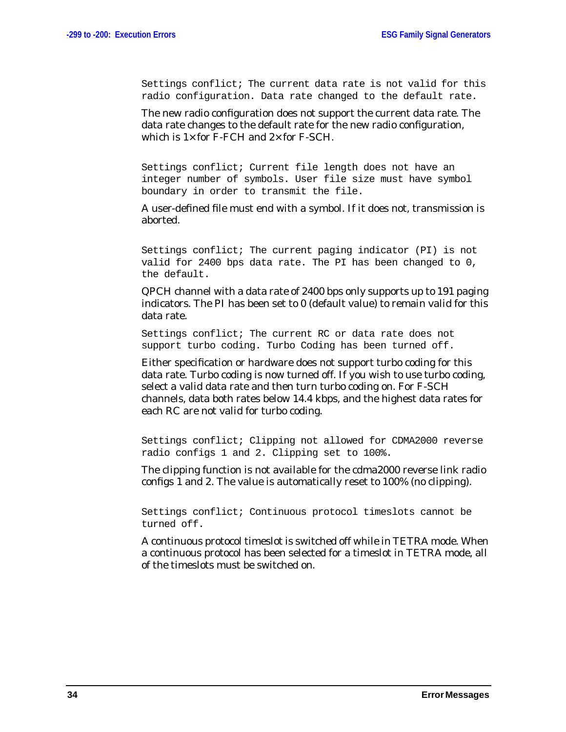Settings conflict; The current data rate is not valid for this radio configuration. Data rate changed to the default rate.

The new radio configuration does not support the current data rate. The data rate changes to the default rate for the new radio configuration, which is  $1 \times$  for F-FCH and  $2 \times$  for F-SCH.

Settings conflict; Current file length does not have an integer number of symbols. User file size must have symbol boundary in order to transmit the file.

A user-defined file must end with a symbol. If it does not, transmission is aborted.

Settings conflict; The current paging indicator (PI) is not valid for 2400 bps data rate. The PI has been changed to 0, the default.

QPCH channel with a data rate of 2400 bps only supports up to 191 paging indicators. The PI has been set to 0 (default value) to remain valid for this data rate.

Settings conflict; The current RC or data rate does not support turbo coding. Turbo Coding has been turned off.

Either specification or hardware does not support turbo coding for this data rate. Turbo coding is now turned off. If you wish to use turbo coding, select a valid data rate and then turn turbo coding on. For F-SCH channels, data both rates below 14.4 kbps, and the highest data rates for each RC are not valid for turbo coding.

Settings conflict; Clipping not allowed for CDMA2000 reverse radio configs 1 and 2. Clipping set to 100%.

The clipping function is not available for the cdma2000 reverse link radio configs 1 and 2. The value is automatically reset to 100% (no clipping).

Settings conflict; Continuous protocol timeslots cannot be turned off.

A continuous protocol timeslot is switched off while in TETRA mode. When a continuous protocol has been selected for a timeslot in TETRA mode, all of the timeslots must be switched on.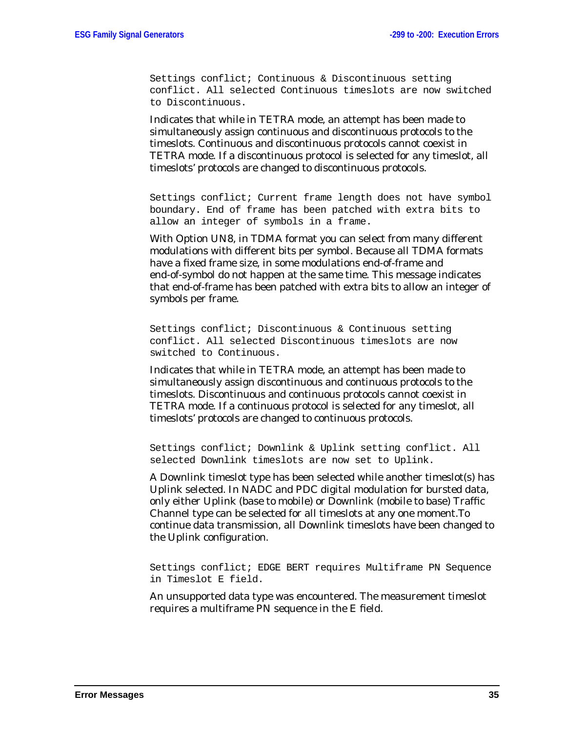Settings conflict; Continuous & Discontinuous setting conflict. All selected Continuous timeslots are now switched to Discontinuous.

Indicates that while in TETRA mode, an attempt has been made to simultaneously assign continuous and discontinuous protocols to the timeslots. Continuous and discontinuous protocols cannot coexist in TETRA mode. If a discontinuous protocol is selected for any timeslot, all timeslots' protocols are changed to discontinuous protocols.

Settings conflict; Current frame length does not have symbol boundary. End of frame has been patched with extra bits to allow an integer of symbols in a frame.

With Option UN8, in TDMA format you can select from many different modulations with different bits per symbol. Because all TDMA formats have a fixed frame size, in some modulations end-of-frame and end-of-symbol do not happen at the same time. This message indicates that end-of-frame has been patched with extra bits to allow an integer of symbols per frame.

Settings conflict; Discontinuous & Continuous setting conflict. All selected Discontinuous timeslots are now switched to Continuous.

Indicates that while in TETRA mode, an attempt has been made to simultaneously assign discontinuous and continuous protocols to the timeslots. Discontinuous and continuous protocols cannot coexist in TETRA mode. If a continuous protocol is selected for any timeslot, all timeslots' protocols are changed to continuous protocols.

Settings conflict; Downlink & Uplink setting conflict. All selected Downlink timeslots are now set to Uplink.

A Downlink timeslot type has been selected while another timeslot(s) has Uplink selected. In NADC and PDC digital modulation for bursted data, only either Uplink (base to mobile) or Downlink (mobile to base) Traffic Channel type can be selected for all timeslots at any one moment.To continue data transmission, all Downlink timeslots have been changed to the Uplink configuration.

Settings conflict; EDGE BERT requires Multiframe PN Sequence in Timeslot E field.

An unsupported data type was encountered. The measurement timeslot requires a multiframe PN sequence in the E field.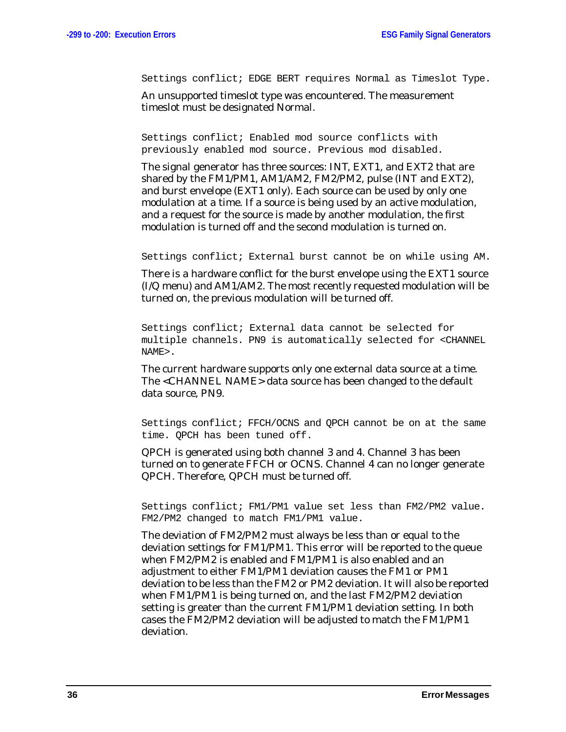Settings conflict; EDGE BERT requires Normal as Timeslot Type.

An unsupported timeslot type was encountered. The measurement timeslot must be designated Normal.

Settings conflict; Enabled mod source conflicts with previously enabled mod source. Previous mod disabled.

The signal generator has three sources: INT, EXT1, and EXT2 that are shared by the FM1/PM1, AM1/AM2, FM2/PM2, pulse (INT and EXT2), and burst envelope (EXT1 only). Each source can be used by only one modulation at a time. If a source is being used by an active modulation, and a request for the source is made by another modulation, the first modulation is turned off and the second modulation is turned on.

Settings conflict; External burst cannot be on while using AM.

There is a hardware conflict for the burst envelope using the EXT1 source (I/Q menu) and AM1/AM2. The most recently requested modulation will be turned on, the previous modulation will be turned off.

Settings conflict; External data cannot be selected for multiple channels. PN9 is automatically selected for <CHANNEL NAME>.

The current hardware supports only one external data source at a time. The <CHANNEL NAME> data source has been changed to the default data source, PN9.

Settings conflict; FFCH/OCNS and QPCH cannot be on at the same time. QPCH has been tuned off.

QPCH is generated using both channel 3 and 4. Channel 3 has been turned on to generate FFCH or OCNS. Channel 4 can no longer generate QPCH. Therefore, QPCH must be turned off.

Settings conflict; FM1/PM1 value set less than FM2/PM2 value. FM2/PM2 changed to match FM1/PM1 value.

The deviation of FM2/PM2 must always be less than or equal to the deviation settings for FM1/PM1. This error will be reported to the queue when FM2/PM2 is enabled and FM1/PM1 is also enabled and an adjustment to either FM1/PM1 deviation causes the FM1 or PM1 deviation to be less than the FM2 or PM2 deviation. It will also be reported when FM1/PM1 is being turned on, and the last FM2/PM2 deviation setting is greater than the current FM1/PM1 deviation setting. In both cases the FM2/PM2 deviation will be adjusted to match the FM1/PM1 deviation.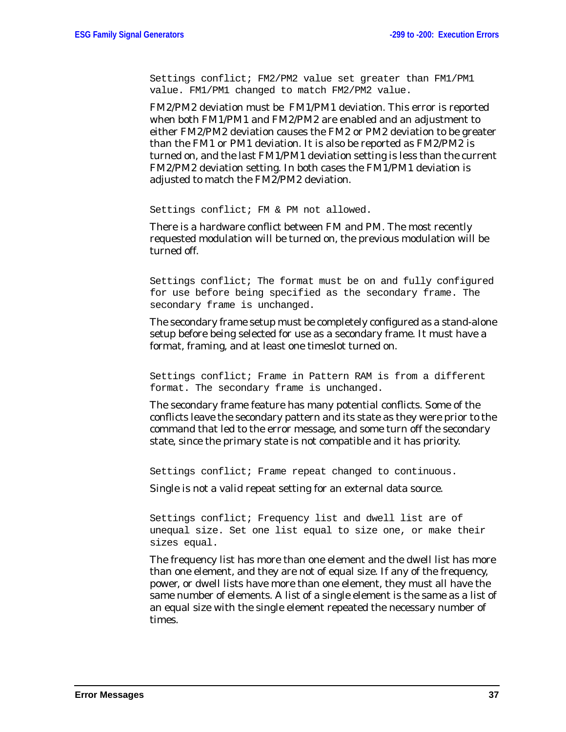Settings conflict; FM2/PM2 value set greater than FM1/PM1 value. FM1/PM1 changed to match FM2/PM2 value.

FM2/PM2 deviation must be FM1/PM1 deviation. This error is reported when both FM1/PM1 and FM2/PM2 are enabled and an adjustment to either FM2/PM2 deviation causes the FM2 or PM2 deviation to be greater than the FM1 or PM1 deviation. It is also be reported as FM2/PM2 is turned on, and the last FM1/PM1 deviation setting is less than the current FM2/PM2 deviation setting. In both cases the FM1/PM1 deviation is adjusted to match the FM2/PM2 deviation.

Settings conflict; FM & PM not allowed.

There is a hardware conflict between FM and PM. The most recently requested modulation will be turned on, the previous modulation will be turned off.

Settings conflict; The format must be on and fully configured for use before being specified as the secondary frame. The secondary frame is unchanged.

The secondary frame setup must be completely configured as a stand-alone setup before being selected for use as a secondary frame. It must have a format, framing, and at least one timeslot turned on.

Settings conflict; Frame in Pattern RAM is from a different format. The secondary frame is unchanged.

The secondary frame feature has many potential conflicts. Some of the conflicts leave the secondary pattern and its state as they were prior to the command that led to the error message, and some turn off the secondary state, since the primary state is not compatible and it has priority.

Settings conflict; Frame repeat changed to continuous.

Single is not a valid repeat setting for an external data source.

Settings conflict; Frequency list and dwell list are of unequal size. Set one list equal to size one, or make their sizes equal.

The frequency list has more than one element and the dwell list has more than one element, and they are not of equal size. If any of the frequency, power, or dwell lists have more than one element, they must all have the same number of elements. A list of a single element is the same as a list of an equal size with the single element repeated the necessary number of times.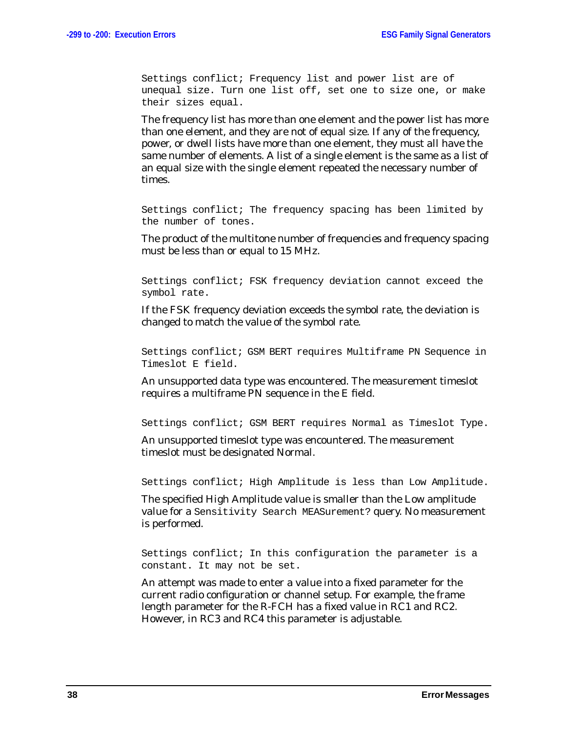Settings conflict; Frequency list and power list are of unequal size. Turn one list off, set one to size one, or make their sizes equal.

The frequency list has more than one element and the power list has more than one element, and they are not of equal size. If any of the frequency, power, or dwell lists have more than one element, they must all have the same number of elements. A list of a single element is the same as a list of an equal size with the single element repeated the necessary number of times.

Settings conflict; The frequency spacing has been limited by the number of tones.

The product of the multitone number of frequencies and frequency spacing must be less than or equal to 15 MHz.

Settings conflict; FSK frequency deviation cannot exceed the symbol rate.

If the FSK frequency deviation exceeds the symbol rate, the deviation is changed to match the value of the symbol rate.

Settings conflict; GSM BERT requires Multiframe PN Sequence in Timeslot E field.

An unsupported data type was encountered. The measurement timeslot requires a multiframe PN sequence in the E field.

Settings conflict; GSM BERT requires Normal as Timeslot Type.

An unsupported timeslot type was encountered. The measurement timeslot must be designated Normal.

Settings conflict; High Amplitude is less than Low Amplitude.

The specified High Amplitude value is smaller than the Low amplitude value for a Sensitivity Search MEASurement? query. No measurement is performed.

Settings conflict; In this configuration the parameter is a constant. It may not be set.

An attempt was made to enter a value into a fixed parameter for the current radio configuration or channel setup. For example, the frame length parameter for the R-FCH has a fixed value in RC1 and RC2. However, in RC3 and RC4 this parameter is adjustable.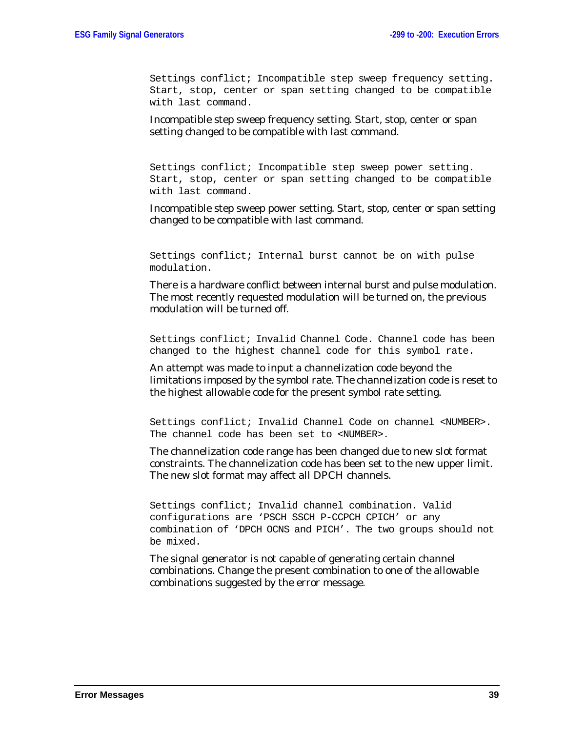Settings conflict; Incompatible step sweep frequency setting. Start, stop, center or span setting changed to be compatible with last command.

Incompatible step sweep frequency setting. Start, stop, center or span setting changed to be compatible with last command.

Settings conflict; Incompatible step sweep power setting. Start, stop, center or span setting changed to be compatible with last command.

Incompatible step sweep power setting. Start, stop, center or span setting changed to be compatible with last command.

Settings conflict; Internal burst cannot be on with pulse modulation.

There is a hardware conflict between internal burst and pulse modulation. The most recently requested modulation will be turned on, the previous modulation will be turned off.

Settings conflict; Invalid Channel Code. Channel code has been changed to the highest channel code for this symbol rate.

An attempt was made to input a channelization code beyond the limitations imposed by the symbol rate. The channelization code is reset to the highest allowable code for the present symbol rate setting.

Settings conflict; Invalid Channel Code on channel <NUMBER>. The channel code has been set to <NUMBER>.

The channelization code range has been changed due to new slot format constraints. The channelization code has been set to the new upper limit. The new slot format may affect all DPCH channels.

Settings conflict; Invalid channel combination. Valid configurations are 'PSCH SSCH P-CCPCH CPICH' or any combination of 'DPCH OCNS and PICH'. The two groups should not be mixed.

The signal generator is not capable of generating certain channel combinations. Change the present combination to one of the allowable combinations suggested by the error message.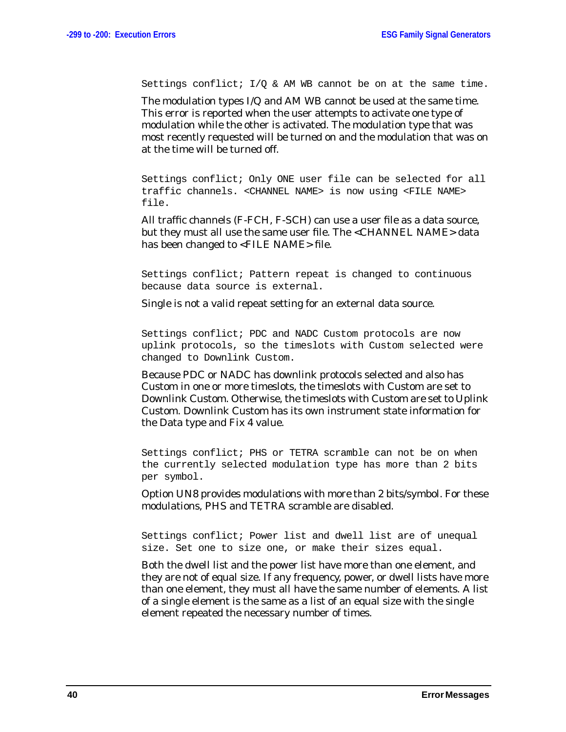Settings conflict;  $I/O$  & AM WB cannot be on at the same time.

The modulation types I/Q and AM WB cannot be used at the same time. This error is reported when the user attempts to activate one type of modulation while the other is activated. The modulation type that was most recently requested will be turned on and the modulation that was on at the time will be turned off.

Settings conflict; Only ONE user file can be selected for all traffic channels. <CHANNEL NAME> is now using <FILE NAME> file.

All traffic channels (F-FCH, F-SCH) can use a user file as a data source, but they must all use the same user file. The <CHANNEL NAME> data has been changed to <FILE NAME> file.

Settings conflict; Pattern repeat is changed to continuous because data source is external.

Single is not a valid repeat setting for an external data source.

Settings conflict; PDC and NADC Custom protocols are now uplink protocols, so the timeslots with Custom selected were changed to Downlink Custom.

Because PDC or NADC has downlink protocols selected and also has Custom in one or more timeslots, the timeslots with Custom are set to Downlink Custom. Otherwise, the timeslots with Custom are set to Uplink Custom. Downlink Custom has its own instrument state information for the Data type and Fix 4 value.

Settings conflict; PHS or TETRA scramble can not be on when the currently selected modulation type has more than 2 bits per symbol.

Option UN8 provides modulations with more than 2 bits/symbol. For these modulations, PHS and TETRA scramble are disabled.

Settings conflict; Power list and dwell list are of unequal size. Set one to size one, or make their sizes equal.

Both the dwell list and the power list have more than one element, and they are not of equal size. If any frequency, power, or dwell lists have more than one element, they must all have the same number of elements. A list of a single element is the same as a list of an equal size with the single element repeated the necessary number of times.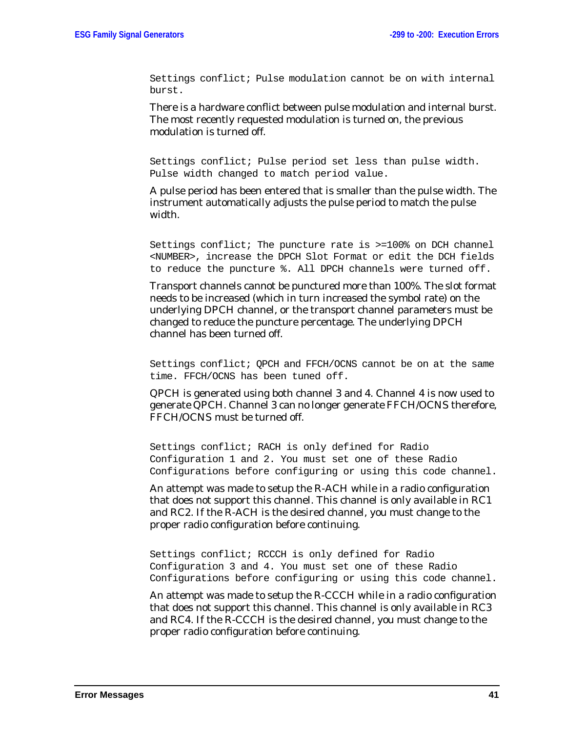Settings conflict; Pulse modulation cannot be on with internal burst.

There is a hardware conflict between pulse modulation and internal burst. The most recently requested modulation is turned on, the previous modulation is turned off.

Settings conflict; Pulse period set less than pulse width. Pulse width changed to match period value.

A pulse period has been entered that is smaller than the pulse width. The instrument automatically adjusts the pulse period to match the pulse width.

Settings conflict; The puncture rate is >=100% on DCH channel <NUMBER>, increase the DPCH Slot Format or edit the DCH fields to reduce the puncture %. All DPCH channels were turned off.

Transport channels cannot be punctured more than 100%. The slot format needs to be increased (which in turn increased the symbol rate) on the underlying DPCH channel, or the transport channel parameters must be changed to reduce the puncture percentage. The underlying DPCH channel has been turned off.

Settings conflict; QPCH and FFCH/OCNS cannot be on at the same time. FFCH/OCNS has been tuned off.

QPCH is generated using both channel 3 and 4. Channel 4 is now used to generate QPCH. Channel 3 can no longer generate FFCH/OCNS therefore, FFCH/OCNS must be turned off.

Settings conflict; RACH is only defined for Radio Configuration 1 and 2. You must set one of these Radio Configurations before configuring or using this code channel.

An attempt was made to setup the R-ACH while in a radio configuration that does not support this channel. This channel is only available in RC1 and RC2. If the R-ACH is the desired channel, you must change to the proper radio configuration before continuing.

Settings conflict; RCCCH is only defined for Radio Configuration 3 and 4. You must set one of these Radio Configurations before configuring or using this code channel.

An attempt was made to setup the R-CCCH while in a radio configuration that does not support this channel. This channel is only available in RC3 and RC4. If the R-CCCH is the desired channel, you must change to the proper radio configuration before continuing.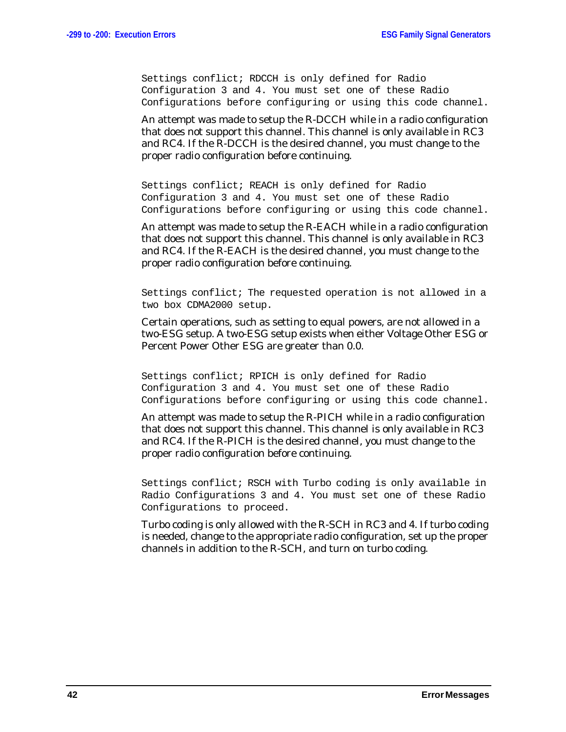Settings conflict; RDCCH is only defined for Radio Configuration 3 and 4. You must set one of these Radio Configurations before configuring or using this code channel.

An attempt was made to setup the R-DCCH while in a radio configuration that does not support this channel. This channel is only available in RC3 and RC4. If the R-DCCH is the desired channel, you must change to the proper radio configuration before continuing.

Settings conflict; REACH is only defined for Radio Configuration 3 and 4. You must set one of these Radio Configurations before configuring or using this code channel.

An attempt was made to setup the R-EACH while in a radio configuration that does not support this channel. This channel is only available in RC3 and RC4. If the R-EACH is the desired channel, you must change to the proper radio configuration before continuing.

Settings conflict; The requested operation is not allowed in a two box CDMA2000 setup.

Certain operations, such as setting to equal powers, are not allowed in a two-ESG setup. A two-ESG setup exists when either Voltage Other ESG or Percent Power Other ESG are greater than 0.0.

Settings conflict; RPICH is only defined for Radio Configuration 3 and 4. You must set one of these Radio Configurations before configuring or using this code channel.

An attempt was made to setup the R-PICH while in a radio configuration that does not support this channel. This channel is only available in RC3 and RC4. If the R-PICH is the desired channel, you must change to the proper radio configuration before continuing.

Settings conflict; RSCH with Turbo coding is only available in Radio Configurations 3 and 4. You must set one of these Radio Configurations to proceed.

Turbo coding is only allowed with the R-SCH in RC3 and 4. If turbo coding is needed, change to the appropriate radio configuration, set up the proper channels in addition to the R-SCH, and turn on turbo coding.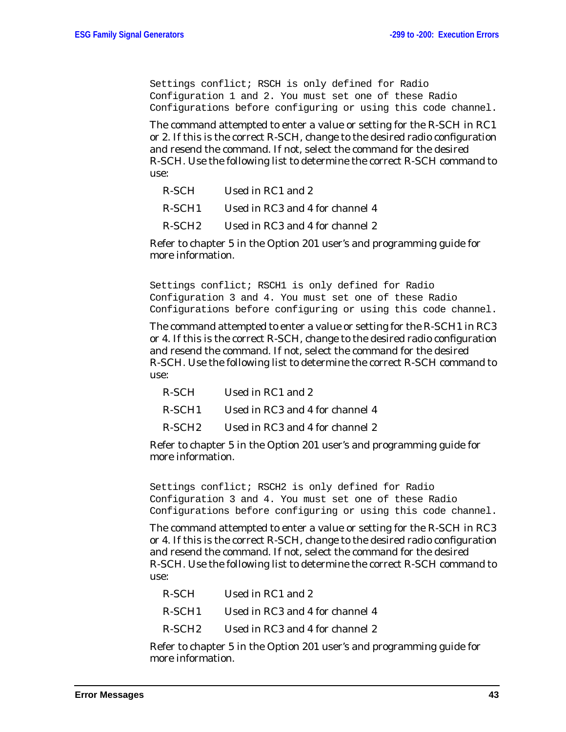Settings conflict; RSCH is only defined for Radio Configuration 1 and 2. You must set one of these Radio Configurations before configuring or using this code channel.

The command attempted to enter a value or setting for the R-SCH in RC1 or 2. If this is the correct R-SCH, change to the desired radio configuration and resend the command. If not, select the command for the desired R-SCH. Use the following list to determine the correct R-SCH command to use:

R-SCH1 Used in RC3 and 4 for channel 4

R-SCH2 Used in RC3 and 4 for channel 2

Refer to chapter 5 in the Option 201 user's and programming guide for more information.

Settings conflict; RSCH1 is only defined for Radio Configuration 3 and 4. You must set one of these Radio Configurations before configuring or using this code channel.

The command attempted to enter a value or setting for the R-SCH1 in RC3 or 4. If this is the correct R-SCH, change to the desired radio configuration and resend the command. If not, select the command for the desired R-SCH. Use the following list to determine the correct R-SCH command to use:

| R-SCH | Used in RC1 and 2                                              |
|-------|----------------------------------------------------------------|
|       | R-SCH1 Used in RC3 and 4 for channel 4                         |
|       | R-SCH <sub>2</sub> Used in RC <sub>3</sub> and 4 for channel 2 |

Refer to chapter 5 in the Option 201 user's and programming guide for more information.

Settings conflict; RSCH2 is only defined for Radio Configuration 3 and 4. You must set one of these Radio Configurations before configuring or using this code channel.

The command attempted to enter a value or setting for the R-SCH in RC3 or 4. If this is the correct R-SCH, change to the desired radio configuration and resend the command. If not, select the command for the desired R-SCH. Use the following list to determine the correct R-SCH command to use:

| R-SCH . | Used in RC1 and 2               |
|---------|---------------------------------|
| R-SCH1  | Used in RC3 and 4 for channel 4 |
| R-SCH2_ | Used in RC3 and 4 for channel 2 |

Refer to chapter 5 in the Option 201 user's and programming guide for more information.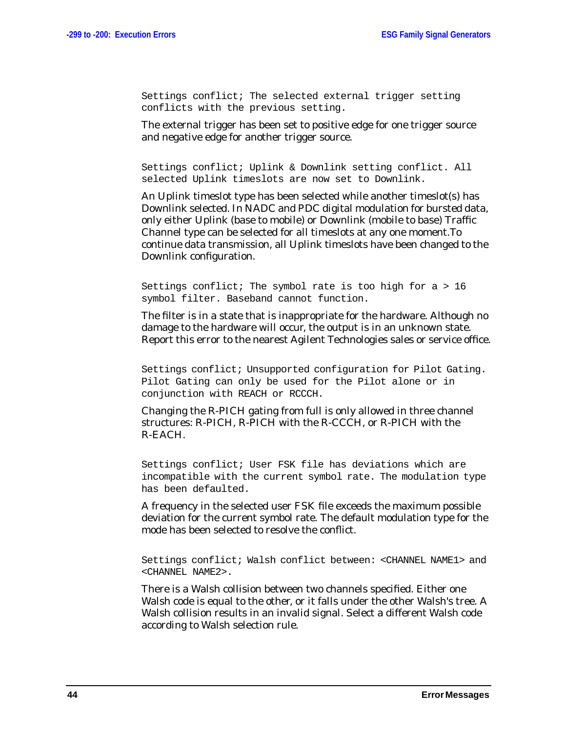Settings conflict; The selected external trigger setting conflicts with the previous setting.

The external trigger has been set to positive edge for one trigger source and negative edge for another trigger source.

Settings conflict; Uplink & Downlink setting conflict. All selected Uplink timeslots are now set to Downlink.

An Uplink timeslot type has been selected while another timeslot(s) has Downlink selected. In NADC and PDC digital modulation for bursted data, only either Uplink (base to mobile) or Downlink (mobile to base) Traffic Channel type can be selected for all timeslots at any one moment.To continue data transmission, all Uplink timeslots have been changed to the Downlink configuration.

Settings conflict; The symbol rate is too high for a > 16 symbol filter. Baseband cannot function.

The filter is in a state that is inappropriate for the hardware. Although no damage to the hardware will occur, the output is in an unknown state. Report this error to the nearest Agilent Technologies sales or service office.

Settings conflict; Unsupported configuration for Pilot Gating. Pilot Gating can only be used for the Pilot alone or in conjunction with REACH or RCCCH.

Changing the R-PICH gating from full is only allowed in three channel structures: R-PICH, R-PICH with the R-CCCH, or R-PICH with the R-EACH.

Settings conflict; User FSK file has deviations which are incompatible with the current symbol rate. The modulation type has been defaulted.

A frequency in the selected user FSK file exceeds the maximum possible deviation for the current symbol rate. The default modulation type for the mode has been selected to resolve the conflict.

Settings conflict; Walsh conflict between: <CHANNEL NAME1> and <CHANNEL NAME2>.

There is a Walsh collision between two channels specified. Either one Walsh code is equal to the other, or it falls under the other Walsh's tree. A Walsh collision results in an invalid signal. Select a different Walsh code according to Walsh selection rule.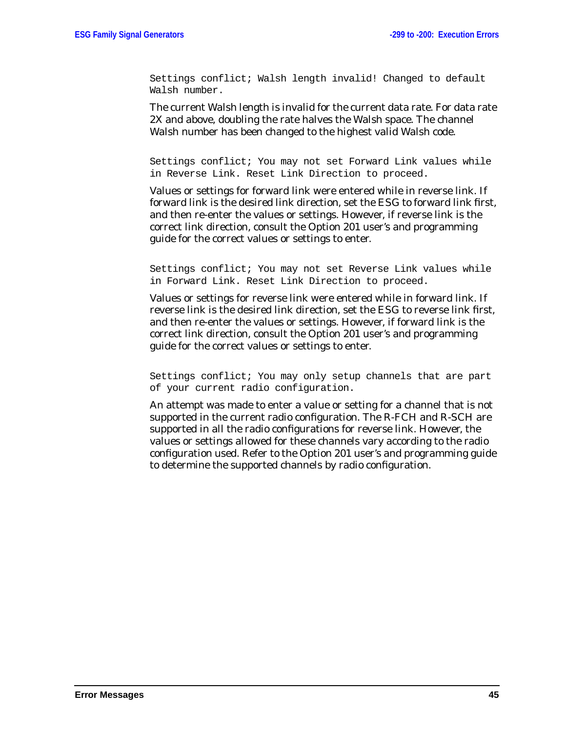Settings conflict; Walsh length invalid! Changed to default Walsh number.

The current Walsh length is invalid for the current data rate. For data rate 2X and above, doubling the rate halves the Walsh space. The channel Walsh number has been changed to the highest valid Walsh code.

Settings conflict; You may not set Forward Link values while in Reverse Link. Reset Link Direction to proceed.

Values or settings for forward link were entered while in reverse link. If forward link is the desired link direction, set the ESG to forward link first, and then re-enter the values or settings. However, if reverse link is the correct link direction, consult the Option 201 user's and programming guide for the correct values or settings to enter.

Settings conflict; You may not set Reverse Link values while in Forward Link. Reset Link Direction to proceed.

Values or settings for reverse link were entered while in forward link. If reverse link is the desired link direction, set the ESG to reverse link first, and then re-enter the values or settings. However, if forward link is the correct link direction, consult the Option 201 user's and programming guide for the correct values or settings to enter.

Settings conflict; You may only setup channels that are part of your current radio configuration.

An attempt was made to enter a value or setting for a channel that is not supported in the current radio configuration. The R-FCH and R-SCH are supported in all the radio configurations for reverse link. However, the values or settings allowed for these channels vary according to the radio configuration used. Refer to the Option 201 user's and programming guide to determine the supported channels by radio configuration.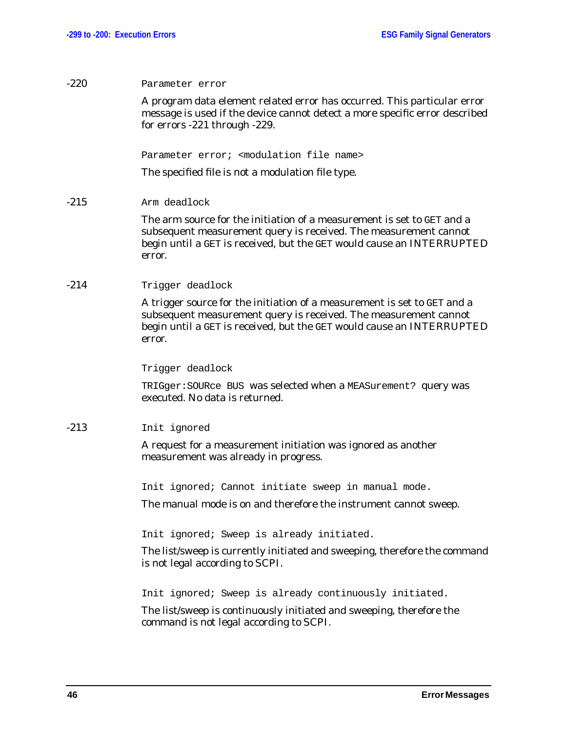| $-220$ | Parameter error                                                                                                                                                                                                                 |
|--------|---------------------------------------------------------------------------------------------------------------------------------------------------------------------------------------------------------------------------------|
|        | A program data element related error has occurred. This particular error<br>message is used if the device cannot detect a more specific error described<br>for errors -221 through -229.                                        |
|        | Parameter error; <modulation file="" name=""></modulation>                                                                                                                                                                      |
|        | The specified file is not a modulation file type.                                                                                                                                                                               |
| $-215$ | Arm deadlock                                                                                                                                                                                                                    |
|        | The arm source for the initiation of a measurement is set to GET and a<br>subsequent measurement query is received. The measurement cannot<br>begin until a GET is received, but the GET would cause an INTERRUPTED<br>error.   |
| $-214$ | Trigger deadlock                                                                                                                                                                                                                |
|        | A trigger source for the initiation of a measurement is set to GET and a<br>subsequent measurement query is received. The measurement cannot<br>begin until a GET is received, but the GET would cause an INTERRUPTED<br>error. |
|        | Trigger deadlock                                                                                                                                                                                                                |
|        | TRIGger: SOURce BUS was selected when a MEASurement? query was<br>executed. No data is returned.                                                                                                                                |
| $-213$ | Init ignored                                                                                                                                                                                                                    |
|        | A request for a measurement initiation was ignored as another<br>measurement was already in progress.                                                                                                                           |
|        | Init ignored; Cannot initiate sweep in manual mode.                                                                                                                                                                             |
|        | The manual mode is on and therefore the instrument cannot sweep.                                                                                                                                                                |
|        | Init ignored; Sweep is already initiated.                                                                                                                                                                                       |
|        | The list/sweep is currently initiated and sweeping, therefore the command<br>is not legal according to SCPI.                                                                                                                    |
|        | Init ignored; Sweep is already continuously initiated.                                                                                                                                                                          |
|        | The list/sweep is continuously initiated and sweeping, therefore the<br>command is not legal according to SCPI.                                                                                                                 |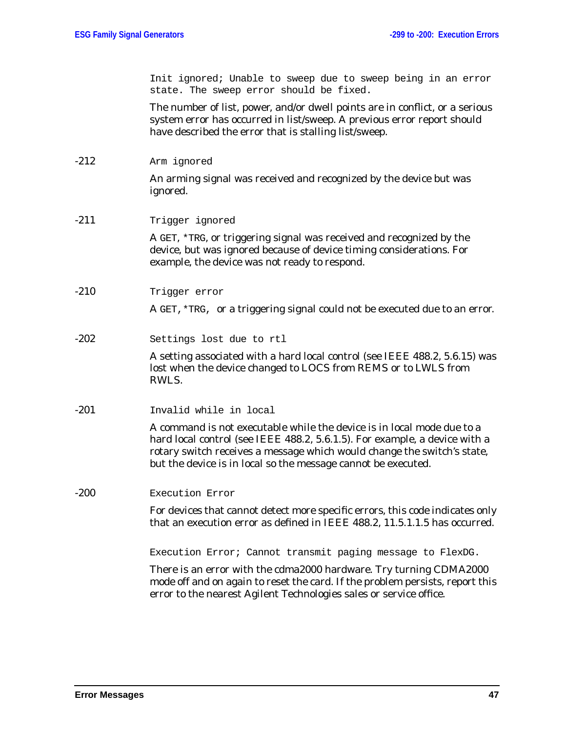Init ignored; Unable to sweep due to sweep being in an error state. The sweep error should be fixed.

The number of list, power, and/or dwell points are in conflict, or a serious system error has occurred in list/sweep. A previous error report should have described the error that is stalling list/sweep.

-212 Arm ignored

An arming signal was received and recognized by the device but was ignored.

### -211 Trigger ignored

A GET, \*TRG, or triggering signal was received and recognized by the device, but was ignored because of device timing considerations. For example, the device was not ready to respond.

-210 Trigger error

A GET,\*TRG, or a triggering signal could not be executed due to an error.

-202 Settings lost due to rtl

A setting associated with a hard local control (see IEEE 488.2, 5.6.15) was lost when the device changed to LOCS from REMS or to LWLS from RWLS.

-201 Invalid while in local

A command is not executable while the device is in local mode due to a hard local control (see IEEE 488.2, 5.6.1.5). For example, a device with a rotary switch receives a message which would change the switch's state, but the device is in local so the message cannot be executed.

### -200 Execution Error

For devices that cannot detect more specific errors, this code indicates only that an execution error as defined in IEEE 488.2, 11.5.1.1.5 has occurred.

Execution Error; Cannot transmit paging message to FlexDG.

There is an error with the cdma2000 hardware. Try turning CDMA2000 mode off and on again to reset the card. If the problem persists, report this error to the nearest Agilent Technologies sales or service office.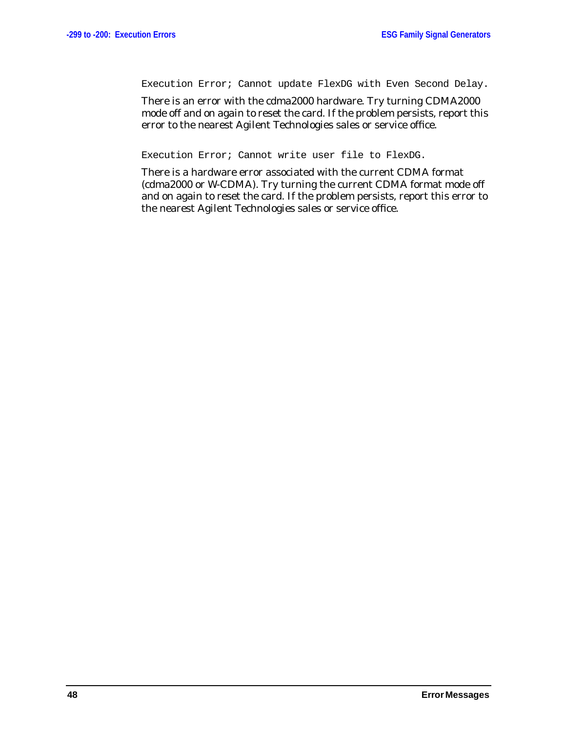Execution Error; Cannot update FlexDG with Even Second Delay.

There is an error with the cdma2000 hardware. Try turning CDMA2000 mode off and on again to reset the card. If the problem persists, report this error to the nearest Agilent Technologies sales or service office.

Execution Error; Cannot write user file to FlexDG.

There is a hardware error associated with the current CDMA format (cdma2000 or W-CDMA). Try turning the current CDMA format mode off and on again to reset the card. If the problem persists, report this error to the nearest Agilent Technologies sales or service office.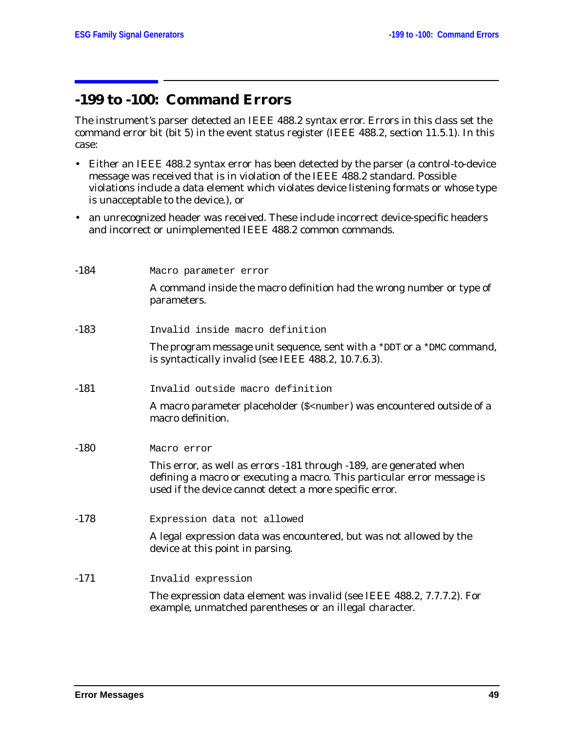# **-199 to -100: Command Errors**

The instrument's parser detected an IEEE 488.2 syntax error. Errors in this class set the command error bit (bit 5) in the event status register (IEEE 488.2, section 11.5.1). In this case:

- Either an IEEE 488.2 syntax error has been detected by the parser (a control-to-device message was received that is in violation of the IEEE 488.2 standard. Possible violations include a data element which violates device listening formats or whose type is unacceptable to the device.), or
- an unrecognized header was received. These include incorrect device-specific headers and incorrect or unimplemented IEEE 488.2 common commands.

| $-184$ | Macro parameter error                                                                                                                                                                                     |
|--------|-----------------------------------------------------------------------------------------------------------------------------------------------------------------------------------------------------------|
|        | A command inside the macro definition had the wrong number or type of<br>parameters.                                                                                                                      |
| $-183$ | Invalid inside macro definition                                                                                                                                                                           |
|        | The program message unit sequence, sent with a *DDT or a *DMC command,<br>is syntactically invalid (see IEEE 488.2, 10.7.6.3).                                                                            |
| $-181$ | Invalid outside macro definition                                                                                                                                                                          |
|        | A macro parameter placeholder (\$ <number) a<br="" encountered="" of="" outside="" was="">macro definition.</number)>                                                                                     |
| $-180$ | Macro error                                                                                                                                                                                               |
|        | This error, as well as errors -181 through -189, are generated when<br>defining a macro or executing a macro. This particular error message is<br>used if the device cannot detect a more specific error. |
| $-178$ | Expression data not allowed                                                                                                                                                                               |
|        | A legal expression data was encountered, but was not allowed by the<br>device at this point in parsing.                                                                                                   |
| $-171$ | Invalid expression                                                                                                                                                                                        |
|        | The expression data element was invalid (see IEEE 488.2, 7.7.7.2). For<br>example, unmatched parentheses or an illegal character.                                                                         |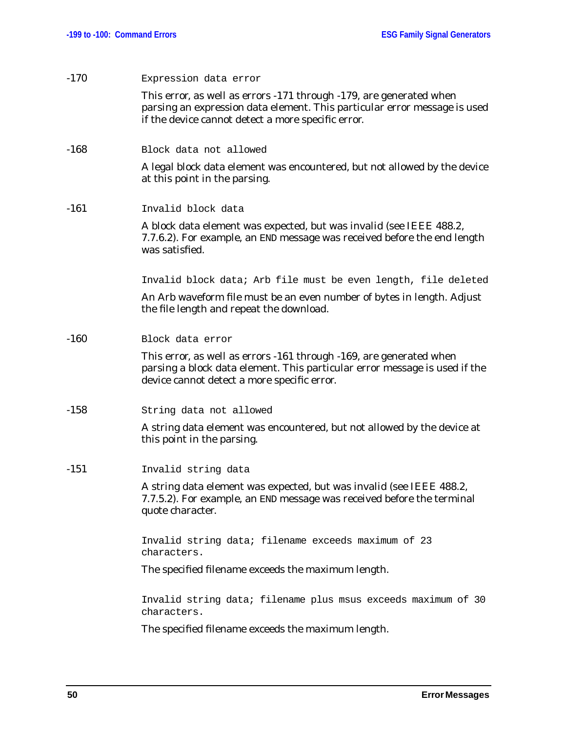| $-170$ | Expression data error                                                                                                                                                                                  |
|--------|--------------------------------------------------------------------------------------------------------------------------------------------------------------------------------------------------------|
|        | This error, as well as errors -171 through -179, are generated when<br>parsing an expression data element. This particular error message is used<br>if the device cannot detect a more specific error. |
| $-168$ | Block data not allowed                                                                                                                                                                                 |
|        | A legal block data element was encountered, but not allowed by the device<br>at this point in the parsing.                                                                                             |
| $-161$ | Invalid block data                                                                                                                                                                                     |
|        | A block data element was expected, but was invalid (see IEEE 488.2,<br>7.7.6.2). For example, an END message was received before the end length<br>was satisfied.                                      |
|        | Invalid block data; Arb file must be even length, file deleted                                                                                                                                         |
|        | An Arb waveform file must be an even number of bytes in length. Adjust<br>the file length and repeat the download.                                                                                     |
| $-160$ | Block data error                                                                                                                                                                                       |
|        | This error, as well as errors -161 through -169, are generated when<br>parsing a block data element. This particular error message is used if the<br>device cannot detect a more specific error.       |
| $-158$ | String data not allowed                                                                                                                                                                                |
|        | A string data element was encountered, but not allowed by the device at<br>this point in the parsing.                                                                                                  |
| $-151$ | Invalid string data                                                                                                                                                                                    |
|        | A string data element was expected, but was invalid (see IEEE 488.2,<br>7.7.5.2). For example, an END message was received before the terminal<br>quote character.                                     |
|        | Invalid string data; filename exceeds maximum of 23<br>characters.                                                                                                                                     |
|        | The specified filename exceeds the maximum length.                                                                                                                                                     |
|        | Invalid string data; filename plus msus exceeds maximum of 30<br>characters.                                                                                                                           |
|        |                                                                                                                                                                                                        |

The specified filename exceeds the maximum length.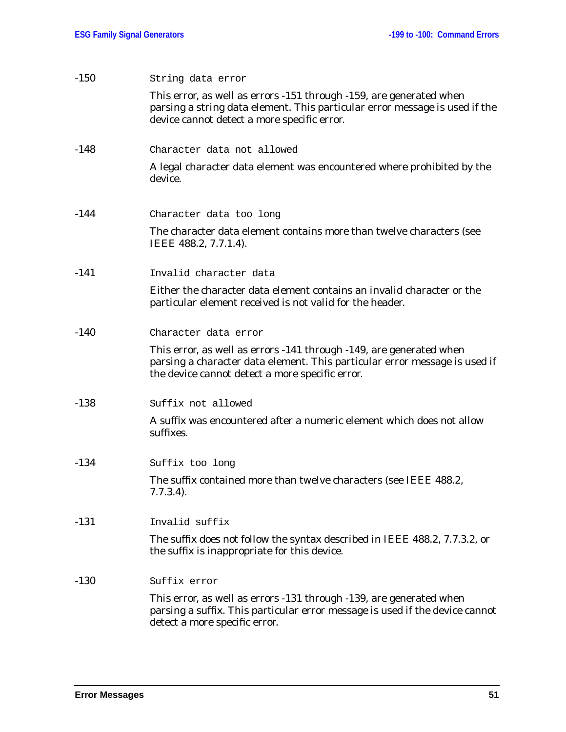| $-150$ | String data error                                                                                                                                                                                    |
|--------|------------------------------------------------------------------------------------------------------------------------------------------------------------------------------------------------------|
|        | This error, as well as errors -151 through -159, are generated when<br>parsing a string data element. This particular error message is used if the<br>device cannot detect a more specific error.    |
| $-148$ | Character data not allowed                                                                                                                                                                           |
|        | A legal character data element was encountered where prohibited by the<br>device.                                                                                                                    |
| $-144$ | Character data too long                                                                                                                                                                              |
|        | The character data element contains more than twelve characters (see<br>IEEE 488.2, 7.7.1.4).                                                                                                        |
| $-141$ | Invalid character data                                                                                                                                                                               |
|        | Either the character data element contains an invalid character or the<br>particular element received is not valid for the header.                                                                   |
| $-140$ | Character data error                                                                                                                                                                                 |
|        | This error, as well as errors -141 through -149, are generated when<br>parsing a character data element. This particular error message is used if<br>the device cannot detect a more specific error. |
| $-138$ | Suffix not allowed                                                                                                                                                                                   |
|        | A suffix was encountered after a numeric element which does not allow<br>suffixes.                                                                                                                   |
| $-134$ | Suffix too long                                                                                                                                                                                      |
|        | The suffix contained more than twelve characters (see IEEE 488.2,<br>$7.7.3.4$ ).                                                                                                                    |
| $-131$ | Invalid suffix                                                                                                                                                                                       |
|        | The suffix does not follow the syntax described in IEEE 488.2, 7.7.3.2, or<br>the suffix is inappropriate for this device.                                                                           |
| $-130$ | Suffix error                                                                                                                                                                                         |
|        | This error, as well as errors -131 through -139, are generated when<br>parsing a suffix. This particular error message is used if the device cannot<br>detect a more specific error.                 |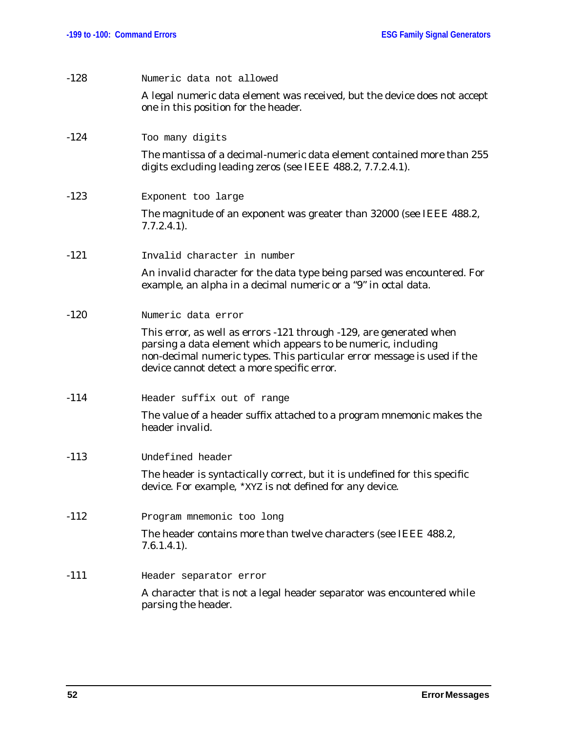| $-128$ | Numeric data not allowed                                                                                                                                                                                                                                       |
|--------|----------------------------------------------------------------------------------------------------------------------------------------------------------------------------------------------------------------------------------------------------------------|
|        | A legal numeric data element was received, but the device does not accept<br>one in this position for the header.                                                                                                                                              |
| $-124$ | Too many digits                                                                                                                                                                                                                                                |
|        | The mantissa of a decimal-numeric data element contained more than 255<br>digits excluding leading zeros (see IEEE 488.2, 7.7.2.4.1).                                                                                                                          |
| $-123$ | Exponent too large                                                                                                                                                                                                                                             |
|        | The magnitude of an exponent was greater than 32000 (see IEEE 488.2,<br>$7.7.2.4.1$ ).                                                                                                                                                                         |
| $-121$ | Invalid character in number                                                                                                                                                                                                                                    |
|        | An invalid character for the data type being parsed was encountered. For<br>example, an alpha in a decimal numeric or a "9" in octal data.                                                                                                                     |
| $-120$ | Numeric data error                                                                                                                                                                                                                                             |
|        | This error, as well as errors -121 through -129, are generated when<br>parsing a data element which appears to be numeric, including<br>non-decimal numeric types. This particular error message is used if the<br>device cannot detect a more specific error. |
| $-114$ | Header suffix out of range                                                                                                                                                                                                                                     |
|        | The value of a header suffix attached to a program mnemonic makes the<br>header invalid.                                                                                                                                                                       |
| $-113$ | Undefined header                                                                                                                                                                                                                                               |
|        | The header is syntactically correct, but it is undefined for this specific<br>device. For example, *XYZ is not defined for any device.                                                                                                                         |
| $-112$ | Program mnemonic too long                                                                                                                                                                                                                                      |
|        | The header contains more than twelve characters (see IEEE 488.2,<br>$7.6.1.4.1$ .                                                                                                                                                                              |
| $-111$ | Header separator error                                                                                                                                                                                                                                         |
|        | A character that is not a legal header separator was encountered while<br>parsing the header.                                                                                                                                                                  |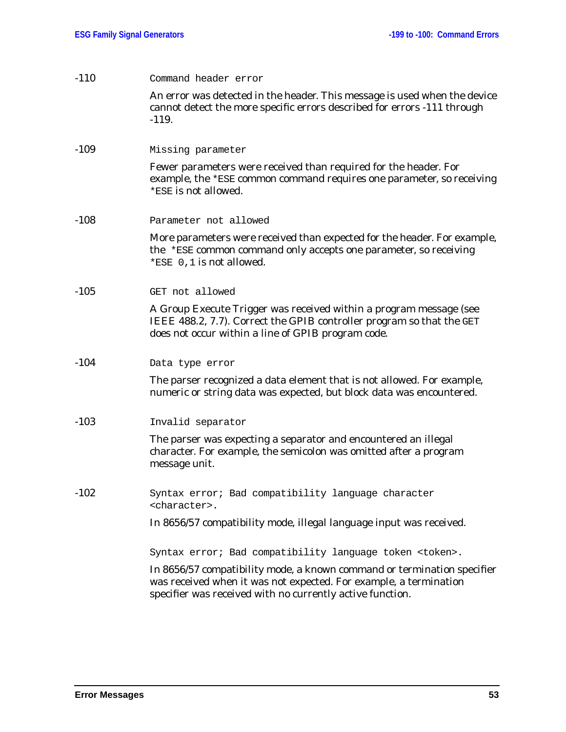| $-110$ | Command header error                                                                                                                                                                                      |
|--------|-----------------------------------------------------------------------------------------------------------------------------------------------------------------------------------------------------------|
|        | An error was detected in the header. This message is used when the device<br>cannot detect the more specific errors described for errors -111 through<br>$-119.$                                          |
| $-109$ | Missing parameter                                                                                                                                                                                         |
|        | Fewer parameters were received than required for the header. For<br>example, the *ESE common command requires one parameter, so receiving<br>*ESE is not allowed.                                         |
| $-108$ | Parameter not allowed                                                                                                                                                                                     |
|        | More parameters were received than expected for the header. For example,<br>the *ESE common command only accepts one parameter, so receiving<br>*ESE 0,1 is not allowed.                                  |
| $-105$ | GET not allowed                                                                                                                                                                                           |
|        | A Group Execute Trigger was received within a program message (see<br>IEEE 488.2, 7.7). Correct the GPIB controller program so that the GET<br>does not occur within a line of GPIB program code.         |
| $-104$ | Data type error                                                                                                                                                                                           |
|        | The parser recognized a data element that is not allowed. For example,<br>numeric or string data was expected, but block data was encountered.                                                            |
| $-103$ | Invalid separator                                                                                                                                                                                         |
|        | The parser was expecting a separator and encountered an illegal<br>character. For example, the semicolon was omitted after a program<br>message unit.                                                     |
| $-102$ | Syntax error; Bad compatibility language character<br><character>.</character>                                                                                                                            |
|        | In 8656/57 compatibility mode, illegal language input was received.                                                                                                                                       |
|        | Syntax error; Bad compatibility language token <token>.</token>                                                                                                                                           |
|        | In 8656/57 compatibility mode, a known command or termination specifier<br>was received when it was not expected. For example, a termination<br>specifier was received with no currently active function. |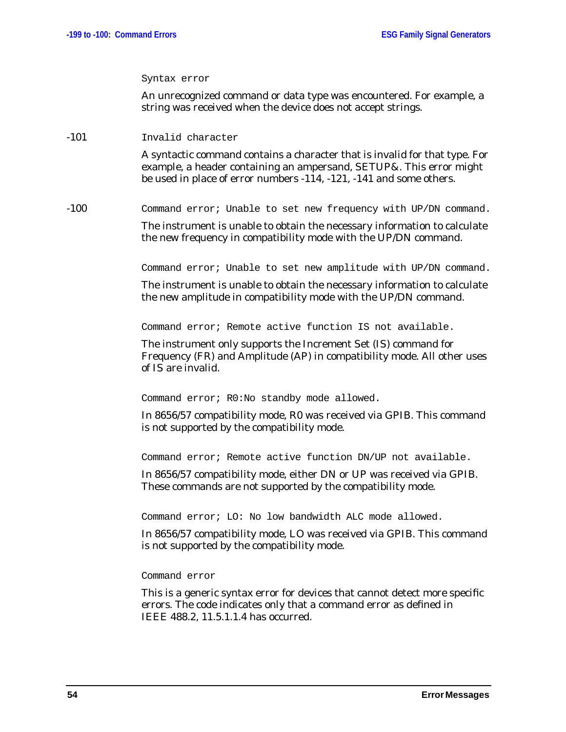#### Syntax error

An unrecognized command or data type was encountered. For example, a string was received when the device does not accept strings.

-101 Invalid character

A syntactic command contains a character that is invalid for that type. For example, a header containing an ampersand, SETUP&. This error might be used in place of error numbers -114, -121, -141 and some others.

-100 Command error; Unable to set new frequency with UP/DN command.

The instrument is unable to obtain the necessary information to calculate the new frequency in compatibility mode with the UP/DN command.

Command error; Unable to set new amplitude with UP/DN command.

The instrument is unable to obtain the necessary information to calculate the new amplitude in compatibility mode with the UP/DN command.

Command error; Remote active function IS not available.

The instrument only supports the Increment Set (IS) command for Frequency (FR) and Amplitude (AP) in compatibility mode. All other uses of IS are invalid.

Command error; R0:No standby mode allowed.

In 8656/57 compatibility mode, R0 was received via GPIB. This command is not supported by the compatibility mode.

Command error; Remote active function DN/UP not available.

In 8656/57 compatibility mode, either DN or UP was received via GPIB. These commands are not supported by the compatibility mode.

Command error; LO: No low bandwidth ALC mode allowed.

In 8656/57 compatibility mode, LO was received via GPIB. This command is not supported by the compatibility mode.

Command error

This is a generic syntax error for devices that cannot detect more specific errors. The code indicates only that a command error as defined in IEEE 488.2, 11.5.1.1.4 has occurred.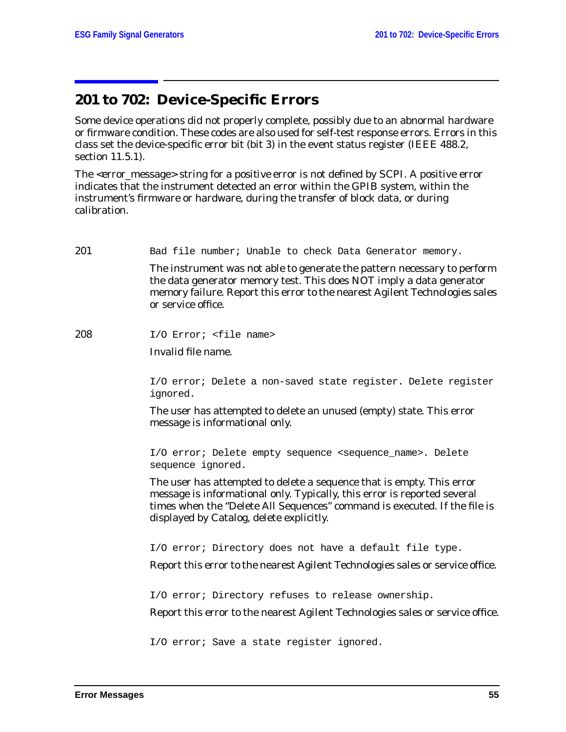# **201 to 702: Device-Specific Errors**

Some device operations did not properly complete, possibly due to an abnormal hardware or firmware condition. These codes are also used for self-test response errors. Errors in this class set the device-specific error bit (bit 3) in the event status register (IEEE 488.2, section 11.5.1).

The <error\_message> string for a *positive* error is not defined by SCPI. A positive error indicates that the instrument detected an error within the GPIB system, within the instrument's firmware or hardware, during the transfer of block data, or during calibration.

201 Bad file number; Unable to check Data Generator memory.

The instrument was not able to generate the pattern necessary to perform the data generator memory test. This does NOT imply a data generator memory failure. Report this error to the nearest Agilent Technologies sales or service office.

208 I/O Error; <file name>

Invalid file name.

I/O error; Delete a non-saved state register. Delete register ignored.

The user has attempted to delete an unused (empty) state. This error message is informational only.

I/O error; Delete empty sequence <sequence\_name>. Delete sequence ignored.

The user has attempted to delete a sequence that is empty. This error message is informational only. Typically, this error is reported several times when the "Delete All Sequences" command is executed. If the file is displayed by Catalog, delete explicitly.

I/O error; Directory does not have a default file type.

Report this error to the nearest Agilent Technologies sales or service office.

I/O error; Directory refuses to release ownership.

Report this error to the nearest Agilent Technologies sales or service office.

I/O error; Save a state register ignored.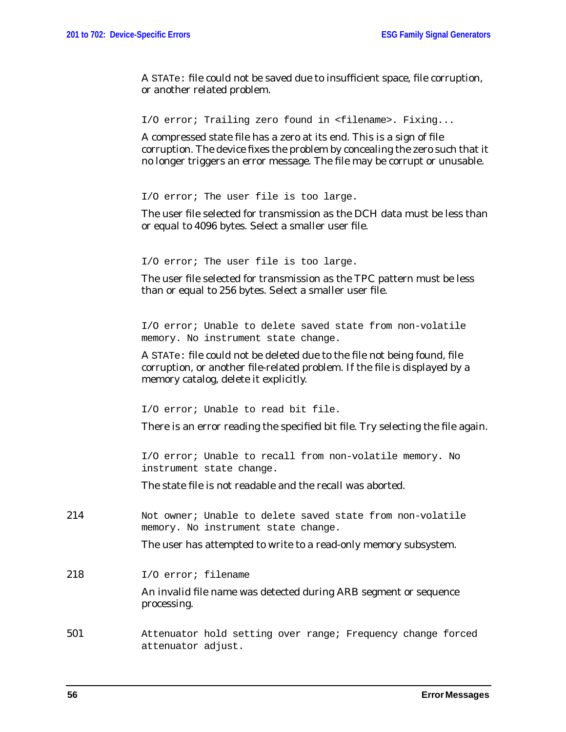A STATe: file could not be saved due to insufficient space, file corruption, or another related problem.

I/O error; Trailing zero found in <filename>. Fixing...

A compressed state file has a zero at its end. This is a sign of file corruption. The device fixes the problem by concealing the zero such that it no longer triggers an error message. The file may be corrupt or unusable.

I/O error; The user file is too large.

The user file selected for transmission as the DCH data must be less than or equal to 4096 bytes. Select a smaller user file.

I/O error; The user file is too large.

The user file selected for transmission as the TPC pattern must be less than or equal to 256 bytes. Select a smaller user file.

I/O error; Unable to delete saved state from non-volatile memory. No instrument state change.

A STATe: file could not be deleted due to the file not being found, file corruption, or another file-related problem. If the file is displayed by a memory catalog, delete it explicitly.

I/O error; Unable to read bit file.

There is an error reading the specified bit file. Try selecting the file again.

I/O error; Unable to recall from non-volatile memory. No instrument state change.

The state file is not readable and the recall was aborted.

214 Not owner; Unable to delete saved state from non-volatile memory. No instrument state change.

The user has attempted to write to a read-only memory subsystem.

218 I/O error; filename

An invalid file name was detected during ARB segment or sequence processing.

501 Attenuator hold setting over range; Frequency change forced attenuator adjust.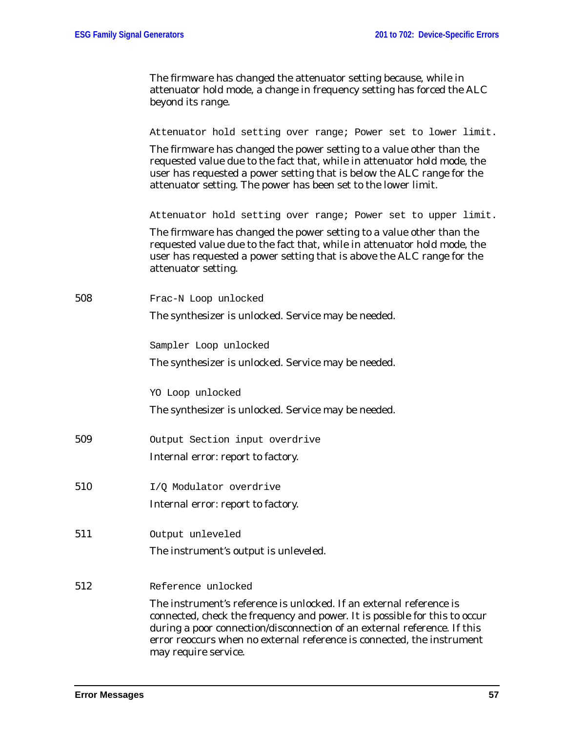The firmware has changed the attenuator setting because, while in attenuator hold mode, a change in frequency setting has forced the ALC beyond its range.

| Attenuator hold setting over range; Power set to lower limit. |  |  |  |  |  |  |  |  |  |
|---------------------------------------------------------------|--|--|--|--|--|--|--|--|--|
|---------------------------------------------------------------|--|--|--|--|--|--|--|--|--|

The firmware has changed the power setting to a value other than the requested value due to the fact that, while in attenuator hold mode, the user has requested a power setting that is below the ALC range for the attenuator setting. The power has been set to the lower limit.

Attenuator hold setting over range; Power set to upper limit.

The firmware has changed the power setting to a value other than the requested value due to the fact that, while in attenuator hold mode, the user has requested a power setting that is above the ALC range for the attenuator setting.

|     | $\alpha$ ccondator betting.                                                                                                                                                                                                   |
|-----|-------------------------------------------------------------------------------------------------------------------------------------------------------------------------------------------------------------------------------|
| 508 | Frac-N Loop unlocked                                                                                                                                                                                                          |
|     | The synthesizer is unlocked. Service may be needed.                                                                                                                                                                           |
|     | Sampler Loop unlocked                                                                                                                                                                                                         |
|     | The synthesizer is unlocked. Service may be needed.                                                                                                                                                                           |
|     | YO Loop unlocked                                                                                                                                                                                                              |
|     | The synthesizer is unlocked. Service may be needed.                                                                                                                                                                           |
| 509 | Output Section input overdrive                                                                                                                                                                                                |
|     | Internal error: report to factory.                                                                                                                                                                                            |
| 510 | I/Q Modulator overdrive                                                                                                                                                                                                       |
|     | Internal error: report to factory.                                                                                                                                                                                            |
| 511 | Output unleveled                                                                                                                                                                                                              |
|     | The instrument's output is unleveled.                                                                                                                                                                                         |
| 512 | Reference unlocked                                                                                                                                                                                                            |
|     |                                                                                                                                                                                                                               |
|     | The instrument's reference is unlocked. If an external reference is<br>connected, check the frequency and power. It is possible for this to occur<br>during a poor connection/disconnection of an external reference. If this |
|     | error reoccurs when no external reference is connected, the instrument                                                                                                                                                        |

may require service.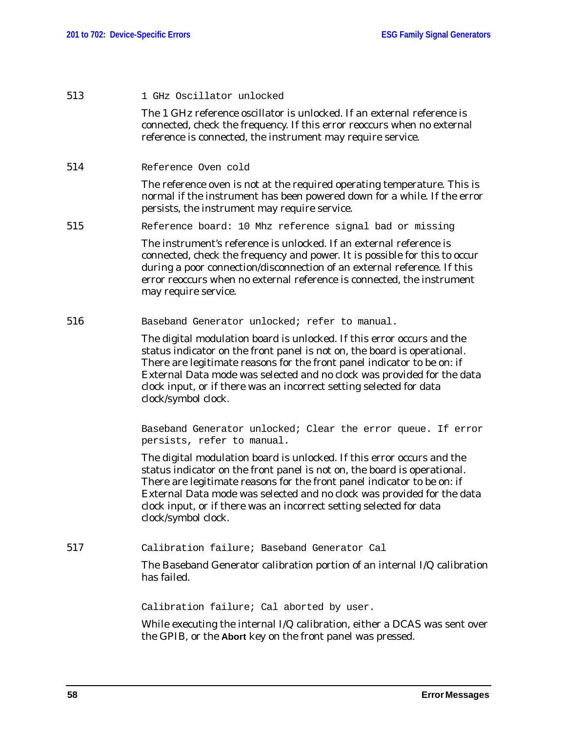| 513 | 1 GHz Oscillator unlocked                                                                                                                                                                                                                                                                                                                                                                             |
|-----|-------------------------------------------------------------------------------------------------------------------------------------------------------------------------------------------------------------------------------------------------------------------------------------------------------------------------------------------------------------------------------------------------------|
|     | The 1 GHz reference oscillator is unlocked. If an external reference is<br>connected, check the frequency. If this error reoccurs when no external<br>reference is connected, the instrument may require service.                                                                                                                                                                                     |
| 514 | Reference Oven cold                                                                                                                                                                                                                                                                                                                                                                                   |
|     | The reference oven is not at the required operating temperature. This is<br>normal if the instrument has been powered down for a while. If the error<br>persists, the instrument may require service.                                                                                                                                                                                                 |
| 515 | Reference board: 10 Mhz reference signal bad or missing                                                                                                                                                                                                                                                                                                                                               |
|     | The instrument's reference is unlocked. If an external reference is<br>connected, check the frequency and power. It is possible for this to occur<br>during a poor connection/disconnection of an external reference. If this<br>error reoccurs when no external reference is connected, the instrument<br>may require service.                                                                       |
| 516 | Baseband Generator unlocked; refer to manual.                                                                                                                                                                                                                                                                                                                                                         |
|     | The digital modulation board is unlocked. If this error occurs and the<br>status indicator on the front panel is not on, the board is operational.<br>There are legitimate reasons for the front panel indicator to be on: if<br>External Data mode was selected and no clock was provided for the data<br>clock input, or if there was an incorrect setting selected for data<br>clock/symbol clock. |
|     | Baseband Generator unlocked; Clear the error queue. If error<br>persists, refer to manual.                                                                                                                                                                                                                                                                                                            |
|     | The digital modulation board is unlocked. If this error occurs and the<br>status indicator on the front panel is not on, the board is operational.<br>There are legitimate reasons for the front panel indicator to be on: if<br>External Data mode was selected and no clock was provided for the data<br>clock input, or if there was an incorrect setting selected for data<br>clock/symbol clock. |
| 517 | Calibration failure; Baseband Generator Cal                                                                                                                                                                                                                                                                                                                                                           |
|     | The Baseband Generator calibration portion of an internal I/Q calibration<br>has failed.                                                                                                                                                                                                                                                                                                              |
|     | Calibration failure; Cal aborted by user.                                                                                                                                                                                                                                                                                                                                                             |
|     | While executing the internal I/Q calibration, either a DCAS was sent over<br>the GPIB, or the Abort key on the front panel was pressed.                                                                                                                                                                                                                                                               |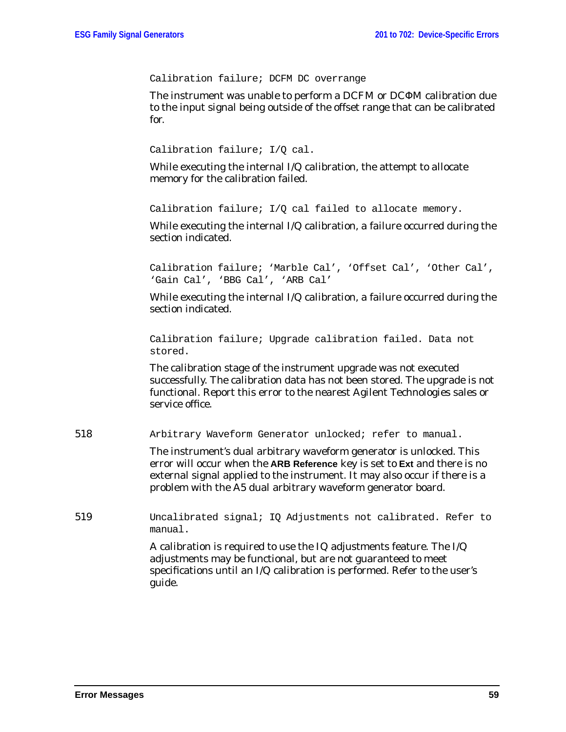Calibration failure; DCFM DC overrange

The instrument was unable to perform a DCFM or DCΦM calibration due to the input signal being outside of the offset range that can be calibrated for.

```
Calibration failure; I/O cal.
```
While executing the internal I/Q calibration, the attempt to allocate memory for the calibration failed.

Calibration failure; I/Q cal failed to allocate memory.

While executing the internal I/Q calibration, a failure occurred during the section indicated.

Calibration failure; 'Marble Cal', 'Offset Cal', 'Other Cal', 'Gain Cal', 'BBG Cal', 'ARB Cal'

While executing the internal I/Q calibration, a failure occurred during the section indicated.

Calibration failure; Upgrade calibration failed. Data not stored.

The calibration stage of the instrument upgrade was not executed successfully. The calibration data has not been stored. The upgrade is not functional. Report this error to the nearest Agilent Technologies sales or service office.

518 Arbitrary Waveform Generator unlocked; refer to manual.

The instrument's dual arbitrary waveform generator is unlocked. This error will occur when the **ARB Reference** key is set to **Ext** and there is no external signal applied to the instrument. It may also occur if there is a problem with the A5 dual arbitrary waveform generator board.

519 Uncalibrated signal; IQ Adjustments not calibrated. Refer to manual.

> A calibration is required to use the IQ adjustments feature. The I/Q adjustments may be functional, but are not guaranteed to meet specifications until an I/Q calibration is performed. Refer to the user's guide.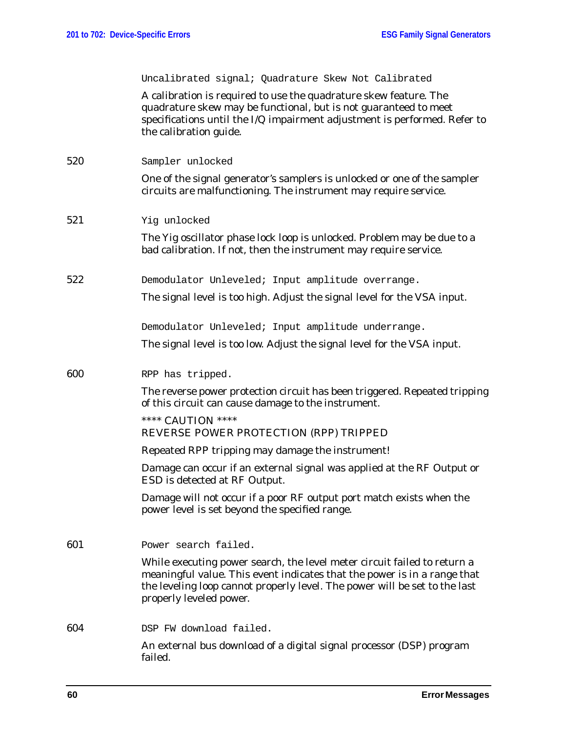|     | Uncalibrated signal; Quadrature Skew Not Calibrated                                                                                                                                                                                                           |
|-----|---------------------------------------------------------------------------------------------------------------------------------------------------------------------------------------------------------------------------------------------------------------|
|     | A calibration is required to use the quadrature skew feature. The<br>quadrature skew may be functional, but is not guaranteed to meet<br>specifications until the I/Q impairment adjustment is performed. Refer to<br>the calibration guide.                  |
| 520 | Sampler unlocked                                                                                                                                                                                                                                              |
|     | One of the signal generator's samplers is unlocked or one of the sampler<br>circuits are malfunctioning. The instrument may require service.                                                                                                                  |
| 521 | Yig unlocked                                                                                                                                                                                                                                                  |
|     | The Yig oscillator phase lock loop is unlocked. Problem may be due to a<br>bad calibration. If not, then the instrument may require service.                                                                                                                  |
| 522 | Demodulator Unleveled; Input amplitude overrange.                                                                                                                                                                                                             |
|     | The signal level is too high. Adjust the signal level for the VSA input.                                                                                                                                                                                      |
|     | Demodulator Unleveled; Input amplitude underrange.                                                                                                                                                                                                            |
|     | The signal level is too low. Adjust the signal level for the VSA input.                                                                                                                                                                                       |
| 600 | RPP has tripped.                                                                                                                                                                                                                                              |
|     | The reverse power protection circuit has been triggered. Repeated tripping<br>of this circuit can cause damage to the instrument.                                                                                                                             |
|     | **** CAUTION ****<br>REVERSE POWER PROTECTION (RPP) TRIPPED                                                                                                                                                                                                   |
|     | Repeated RPP tripping may damage the instrument!                                                                                                                                                                                                              |
|     | Damage can occur if an external signal was applied at the RF Output or<br>ESD is detected at RF Output.                                                                                                                                                       |
|     | Damage will not occur if a poor RF output port match exists when the<br>power level is set beyond the specified range.                                                                                                                                        |
| 601 | Power search failed.                                                                                                                                                                                                                                          |
|     | While executing power search, the level meter circuit failed to return a<br>meaningful value. This event indicates that the power is in a range that<br>the leveling loop cannot properly level. The power will be set to the last<br>properly leveled power. |
| 604 | DSP FW download failed.                                                                                                                                                                                                                                       |
|     | An external bus download of a digital signal processor (DSP) program<br>failed.                                                                                                                                                                               |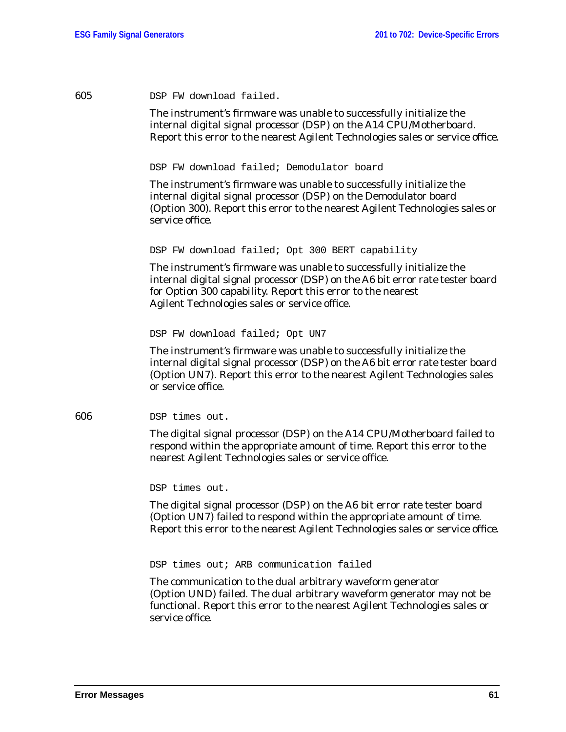| DSP FW download failed. |
|-------------------------|
|                         |

The instrument's firmware was unable to successfully initialize the internal digital signal processor (DSP) on the A14 CPU/Motherboard. Report this error to the nearest Agilent Technologies sales or service office.

DSP FW download failed; Demodulator board

The instrument's firmware was unable to successfully initialize the internal digital signal processor (DSP) on the Demodulator board (Option 300). Report this error to the nearest Agilent Technologies sales or service office.

DSP FW download failed; Opt 300 BERT capability

The instrument's firmware was unable to successfully initialize the internal digital signal processor (DSP) on the A6 bit error rate tester board for Option 300 capability. Report this error to the nearest Agilent Technologies sales or service office.

DSP FW download failed; Opt UN7

The instrument's firmware was unable to successfully initialize the internal digital signal processor (DSP) on the A6 bit error rate tester board (Option UN7). Report this error to the nearest Agilent Technologies sales or service office.

606 DSP times out.

The digital signal processor (DSP) on the A14 CPU/Motherboard failed to respond within the appropriate amount of time. Report this error to the nearest Agilent Technologies sales or service office.

DSP times out.

The digital signal processor (DSP) on the A6 bit error rate tester board (Option UN7) failed to respond within the appropriate amount of time. Report this error to the nearest Agilent Technologies sales or service office.

DSP times out; ARB communication failed

The communication to the dual arbitrary waveform generator (Option UND) failed. The dual arbitrary waveform generator may not be functional. Report this error to the nearest Agilent Technologies sales or service office.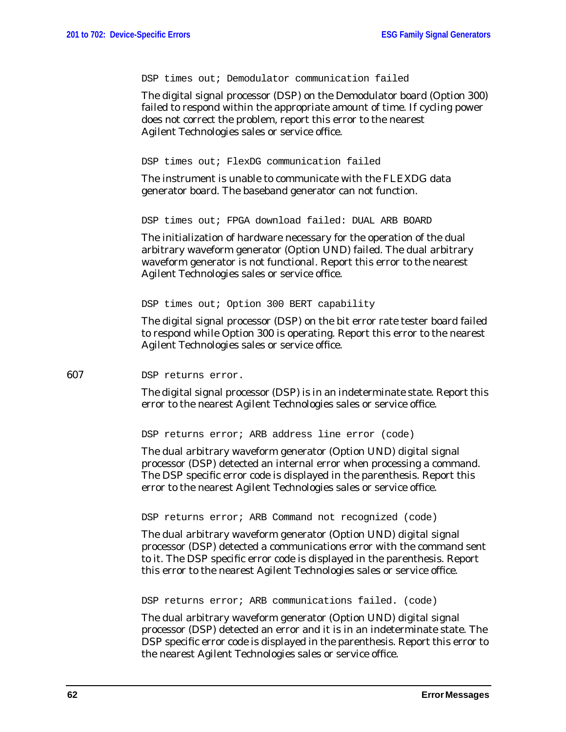DSP times out; Demodulator communication failed

The digital signal processor (DSP) on the Demodulator board (Option 300) failed to respond within the appropriate amount of time. If cycling power does not correct the problem, report this error to the nearest Agilent Technologies sales or service office.

DSP times out; FlexDG communication failed

The instrument is unable to communicate with the FLEXDG data generator board. The baseband generator can not function.

DSP times out; FPGA download failed: DUAL ARB BOARD

The initialization of hardware necessary for the operation of the dual arbitrary waveform generator (Option UND) failed. The dual arbitrary waveform generator is not functional. Report this error to the nearest Agilent Technologies sales or service office.

DSP times out; Option 300 BERT capability

The digital signal processor (DSP) on the bit error rate tester board failed to respond while Option 300 is operating. Report this error to the nearest Agilent Technologies sales or service office.

## 607 DSP returns error.

The digital signal processor (DSP) is in an indeterminate state. Report this error to the nearest Agilent Technologies sales or service office.

DSP returns error; ARB address line error (code)

The dual arbitrary waveform generator (Option UND) digital signal processor (DSP) detected an internal error when processing a command. The DSP specific error code is displayed in the parenthesis. Report this error to the nearest Agilent Technologies sales or service office.

DSP returns error; ARB Command not recognized (code)

The dual arbitrary waveform generator (Option UND) digital signal processor (DSP) detected a communications error with the command sent to it. The DSP specific error code is displayed in the parenthesis. Report this error to the nearest Agilent Technologies sales or service office.

DSP returns error; ARB communications failed. (code)

The dual arbitrary waveform generator (Option UND) digital signal processor (DSP) detected an error and it is in an indeterminate state. The DSP specific error code is displayed in the parenthesis. Report this error to the nearest Agilent Technologies sales or service office.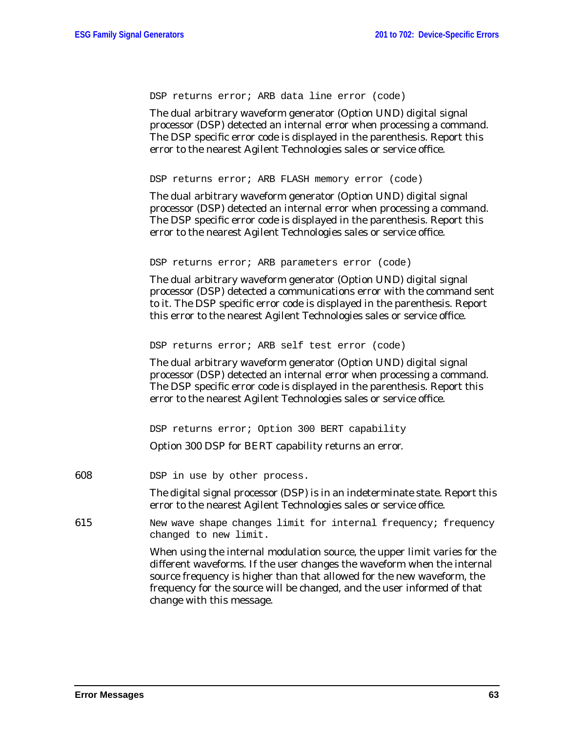|     | DSP returns error; ARB data line error (code)                                                                                                                                                                                                                                                             |
|-----|-----------------------------------------------------------------------------------------------------------------------------------------------------------------------------------------------------------------------------------------------------------------------------------------------------------|
|     | The dual arbitrary waveform generator (Option UND) digital signal<br>processor (DSP) detected an internal error when processing a command.<br>The DSP specific error code is displayed in the parenthesis. Report this<br>error to the nearest Agilent Technologies sales or service office.              |
|     | DSP returns error; ARB FLASH memory error (code)                                                                                                                                                                                                                                                          |
|     | The dual arbitrary waveform generator (Option UND) digital signal<br>processor (DSP) detected an internal error when processing a command.<br>The DSP specific error code is displayed in the parenthesis. Report this<br>error to the nearest Agilent Technologies sales or service office.              |
|     | DSP returns error; ARB parameters error (code)                                                                                                                                                                                                                                                            |
|     | The dual arbitrary waveform generator (Option UND) digital signal<br>processor (DSP) detected a communications error with the command sent<br>to it. The DSP specific error code is displayed in the parenthesis. Report<br>this error to the nearest Agilent Technologies sales or service office.       |
|     | DSP returns error; ARB self test error (code)                                                                                                                                                                                                                                                             |
|     | The dual arbitrary waveform generator (Option UND) digital signal<br>processor (DSP) detected an internal error when processing a command.<br>The DSP specific error code is displayed in the parenthesis. Report this<br>error to the nearest Agilent Technologies sales or service office.              |
|     | DSP returns error; Option 300 BERT capability                                                                                                                                                                                                                                                             |
|     | Option 300 DSP for BERT capability returns an error.                                                                                                                                                                                                                                                      |
| 608 | DSP in use by other process.                                                                                                                                                                                                                                                                              |
|     | The digital signal processor (DSP) is in an indeterminate state. Report this<br>error to the nearest Agilent Technologies sales or service office.                                                                                                                                                        |
| 615 | New wave shape changes limit for internal frequency; frequency<br>changed to new limit.                                                                                                                                                                                                                   |
|     | When using the internal modulation source, the upper limit varies for the<br>different waveforms. If the user changes the waveform when the internal<br>source frequency is higher than that allowed for the new waveform, the<br>frequency for the source will be changed, and the user informed of that |

change with this message.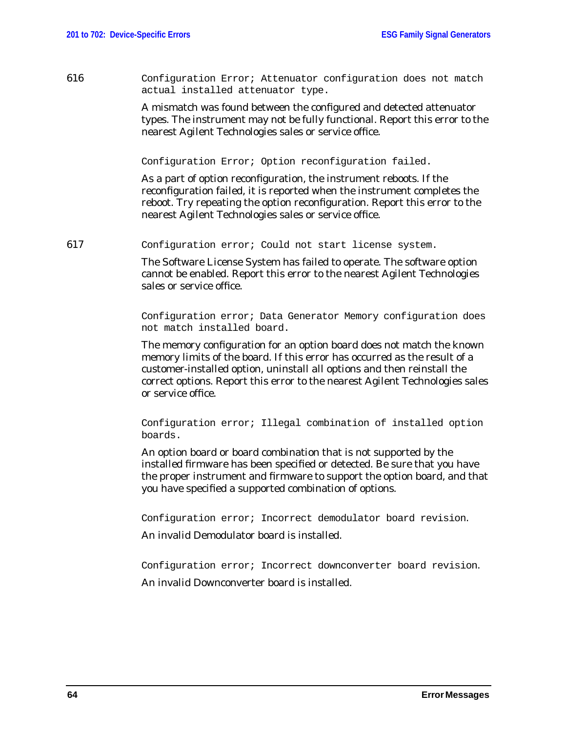616 Configuration Error; Attenuator configuration does not match actual installed attenuator type.

> A mismatch was found between the configured and detected attenuator types. The instrument may not be fully functional. Report this error to the nearest Agilent Technologies sales or service office.

Configuration Error; Option reconfiguration failed.

As a part of option reconfiguration, the instrument reboots. If the reconfiguration failed, it is reported when the instrument completes the reboot. Try repeating the option reconfiguration. Report this error to the nearest Agilent Technologies sales or service office.

617 Configuration error; Could not start license system.

The Software License System has failed to operate. The software option cannot be enabled. Report this error to the nearest Agilent Technologies sales or service office.

Configuration error; Data Generator Memory configuration does not match installed board.

The memory configuration for an option board does not match the known memory limits of the board. If this error has occurred as the result of a customer-installed option, uninstall all options and then reinstall the correct options. Report this error to the nearest Agilent Technologies sales or service office.

Configuration error; Illegal combination of installed option boards.

An option board or board combination that is not supported by the installed firmware has been specified or detected. Be sure that you have the proper instrument and firmware to support the option board, and that you have specified a supported combination of options.

Configuration error; Incorrect demodulator board revision.

An invalid Demodulator board is installed.

Configuration error; Incorrect downconverter board revision.

An invalid Downconverter board is installed.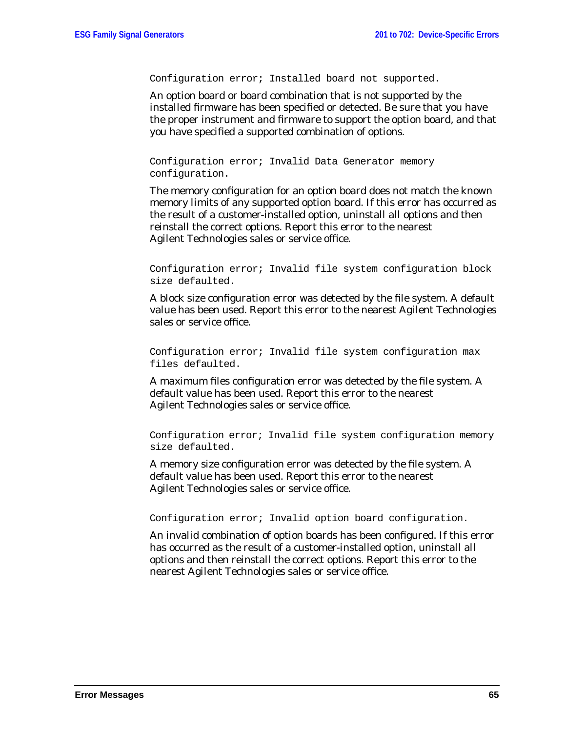Configuration error; Installed board not supported.

An option board or board combination that is not supported by the installed firmware has been specified or detected. Be sure that you have the proper instrument and firmware to support the option board, and that you have specified a supported combination of options.

Configuration error; Invalid Data Generator memory configuration.

The memory configuration for an option board does not match the known memory limits of any supported option board. If this error has occurred as the result of a customer-installed option, uninstall all options and then reinstall the correct options. Report this error to the nearest Agilent Technologies sales or service office.

Configuration error; Invalid file system configuration block size defaulted.

A block size configuration error was detected by the file system. A default value has been used. Report this error to the nearest Agilent Technologies sales or service office.

Configuration error; Invalid file system configuration max files defaulted.

A maximum files configuration error was detected by the file system. A default value has been used. Report this error to the nearest Agilent Technologies sales or service office.

Configuration error; Invalid file system configuration memory size defaulted.

A memory size configuration error was detected by the file system. A default value has been used. Report this error to the nearest Agilent Technologies sales or service office.

Configuration error; Invalid option board configuration.

An invalid combination of option boards has been configured. If this error has occurred as the result of a customer-installed option, uninstall all options and then reinstall the correct options. Report this error to the nearest Agilent Technologies sales or service office.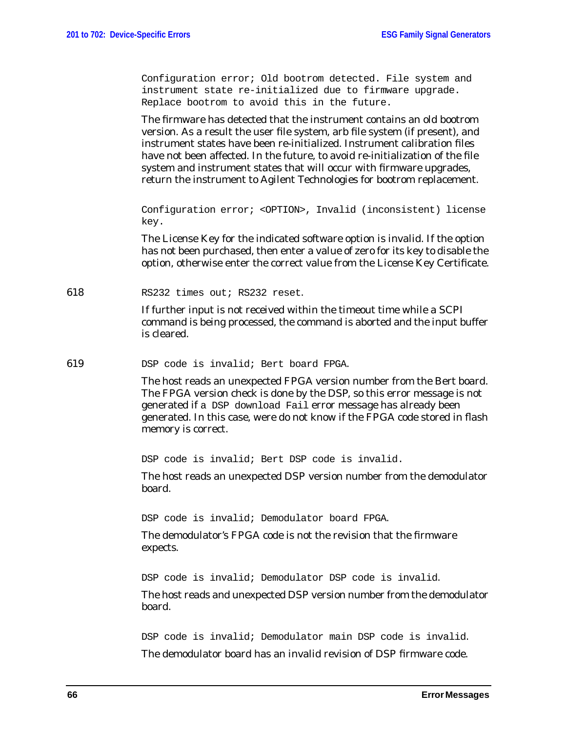Configuration error; Old bootrom detected. File system and instrument state re-initialized due to firmware upgrade. Replace bootrom to avoid this in the future.

The firmware has detected that the instrument contains an old bootrom version. As a result the user file system, arb file system (if present), and instrument states have been re-initialized. Instrument calibration files have not been affected. In the future, to avoid re-initialization of the file system and instrument states that will occur with firmware upgrades, return the instrument to Agilent Technologies for bootrom replacement.

Configuration error; <OPTION>, Invalid (inconsistent) license key.

The License Key for the indicated software option is invalid. If the option has not been purchased, then enter a value of zero for its key to disable the option, otherwise enter the correct value from the License Key Certificate.

618 RS232 times out; RS232 reset.

If further input is not received within the timeout time while a SCPI command is being processed, the command is aborted and the input buffer is cleared.

619 DSP code is invalid; Bert board FPGA.

The host reads an unexpected FPGA version number from the Bert board. The FPGA version check is done by the DSP, so this error message is not generated if a DSP download Fail error message has already been generated. In this case, were do not know if the FPGA code stored in flash memory is correct.

DSP code is invalid; Bert DSP code is invalid.

The host reads an unexpected DSP version number from the demodulator board.

DSP code is invalid; Demodulator board FPGA.

The demodulator's FPGA code is not the revision that the firmware expects.

DSP code is invalid; Demodulator DSP code is invalid.

The host reads and unexpected DSP version number from the demodulator board.

DSP code is invalid; Demodulator main DSP code is invalid. The demodulator board has an invalid revision of DSP firmware code.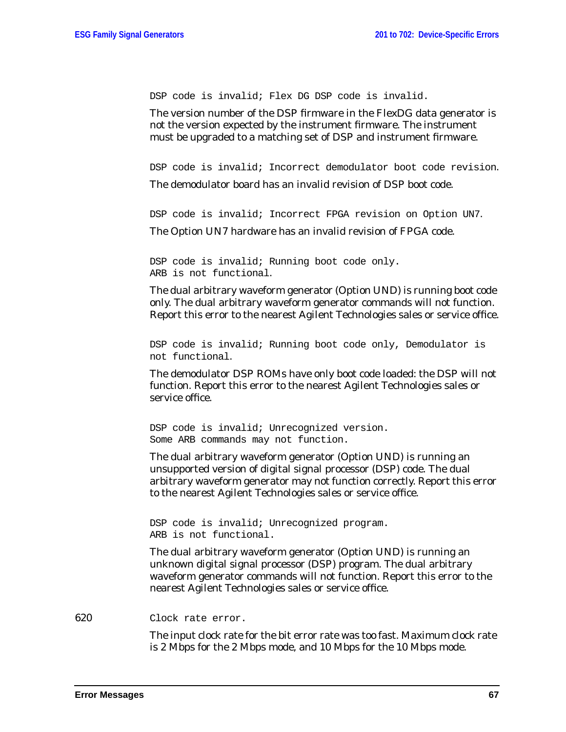DSP code is invalid; Flex DG DSP code is invalid.

The version number of the DSP firmware in the FlexDG data generator is not the version expected by the instrument firmware. The instrument must be upgraded to a matching set of DSP and instrument firmware.

DSP code is invalid; Incorrect demodulator boot code revision. The demodulator board has an invalid revision of DSP boot code.

DSP code is invalid; Incorrect FPGA revision on Option UN7.

The Option UN7 hardware has an invalid revision of FPGA code.

DSP code is invalid; Running boot code only. ARB is not functional.

The dual arbitrary waveform generator (Option UND) is running boot code only. The dual arbitrary waveform generator commands will not function. Report this error to the nearest Agilent Technologies sales or service office.

DSP code is invalid; Running boot code only, Demodulator is not functional.

The demodulator DSP ROMs have only boot code loaded: the DSP will not function. Report this error to the nearest Agilent Technologies sales or service office.

DSP code is invalid; Unrecognized version. Some ARB commands may not function.

The dual arbitrary waveform generator (Option UND) is running an unsupported version of digital signal processor (DSP) code. The dual arbitrary waveform generator may not function correctly. Report this error to the nearest Agilent Technologies sales or service office.

DSP code is invalid; Unrecognized program. ARB is not functional.

The dual arbitrary waveform generator (Option UND) is running an unknown digital signal processor (DSP) program. The dual arbitrary waveform generator commands will not function. Report this error to the nearest Agilent Technologies sales or service office.

620 Clock rate error.

The input clock rate for the bit error rate was too fast. Maximum clock rate is 2 Mbps for the 2 Mbps mode, and 10 Mbps for the 10 Mbps mode.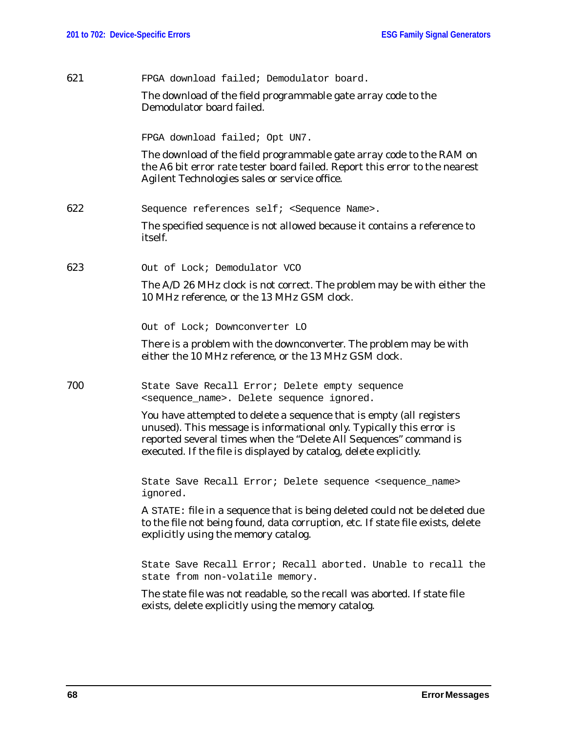| 621 | FPGA download failed; Demodulator board.                                                                                                                                                                                                                                               |
|-----|----------------------------------------------------------------------------------------------------------------------------------------------------------------------------------------------------------------------------------------------------------------------------------------|
|     | The download of the field programmable gate array code to the<br>Demodulator board failed.                                                                                                                                                                                             |
|     | FPGA download failed; Opt UN7.                                                                                                                                                                                                                                                         |
|     | The download of the field programmable gate array code to the RAM on<br>the A6 bit error rate tester board failed. Report this error to the nearest<br>Agilent Technologies sales or service office.                                                                                   |
| 622 | Sequence references self; <sequence name="">.</sequence>                                                                                                                                                                                                                               |
|     | The specified sequence is not allowed because it contains a reference to<br>itself.                                                                                                                                                                                                    |
| 623 | Out of Lock; Demodulator VCO                                                                                                                                                                                                                                                           |
|     | The A/D 26 MHz clock is not correct. The problem may be with either the<br>10 MHz reference, or the 13 MHz GSM clock.                                                                                                                                                                  |
|     | Out of Lock; Downconverter LO                                                                                                                                                                                                                                                          |
|     | There is a problem with the downconverter. The problem may be with<br>either the 10 MHz reference, or the 13 MHz GSM clock.                                                                                                                                                            |
| 700 | State Save Recall Error; Delete empty sequence<br><sequence_name>. Delete sequence ignored.</sequence_name>                                                                                                                                                                            |
|     | You have attempted to delete a sequence that is empty (all registers<br>unused). This message is informational only. Typically this error is<br>reported several times when the "Delete All Sequences" command is<br>executed. If the file is displayed by catalog, delete explicitly. |
|     | State Save Recall Error; Delete sequence <sequence_name><br/>ignored.</sequence_name>                                                                                                                                                                                                  |
|     | A STATE: file in a sequence that is being deleted could not be deleted due<br>to the file not being found, data corruption, etc. If state file exists, delete<br>explicitly using the memory catalog.                                                                                  |
|     | State Save Recall Error; Recall aborted. Unable to recall the<br>state from non-volatile memory.                                                                                                                                                                                       |
|     | The state file was not readable, so the recall was aborted. If state file<br>exists, delete explicitly using the memory catalog.                                                                                                                                                       |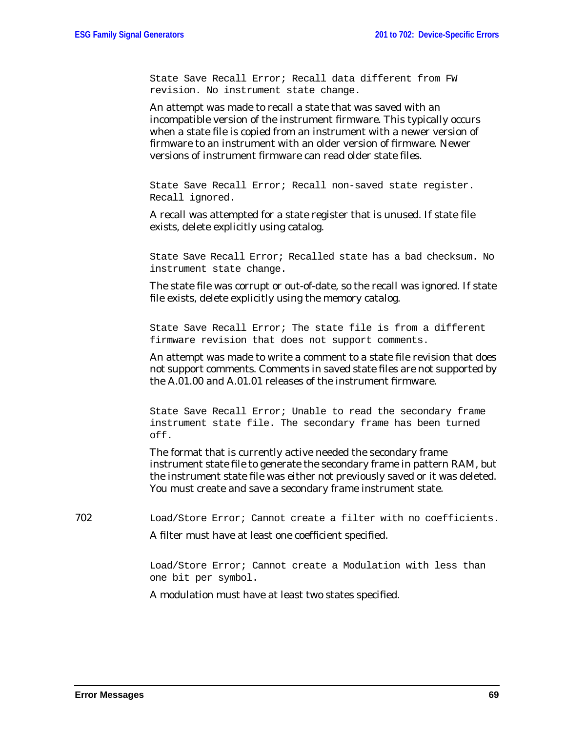State Save Recall Error; Recall data different from FW revision. No instrument state change.

An attempt was made to recall a state that was saved with an incompatible version of the instrument firmware. This typically occurs when a state file is copied from an instrument with a newer version of firmware to an instrument with an older version of firmware. Newer versions of instrument firmware can read older state files.

State Save Recall Error; Recall non-saved state register. Recall ignored.

A recall was attempted for a state register that is unused. If state file exists, delete explicitly using catalog.

State Save Recall Error; Recalled state has a bad checksum. No instrument state change.

The state file was corrupt or out-of-date, so the recall was ignored. If state file exists, delete explicitly using the memory catalog.

State Save Recall Error; The state file is from a different firmware revision that does not support comments.

An attempt was made to write a comment to a state file revision that does not support comments. Comments in saved state files are not supported by the A.01.00 and A.01.01 releases of the instrument firmware.

State Save Recall Error; Unable to read the secondary frame instrument state file. The secondary frame has been turned off.

The format that is currently active needed the secondary frame instrument state file to generate the secondary frame in pattern RAM, but the instrument state file was either not previously saved or it was deleted. You must create and save a secondary frame instrument state.

702 Load/Store Error; Cannot create a filter with no coefficients. A filter must have at least one coefficient specified.

> Load/Store Error; Cannot create a Modulation with less than one bit per symbol.

A modulation must have at least two states specified.